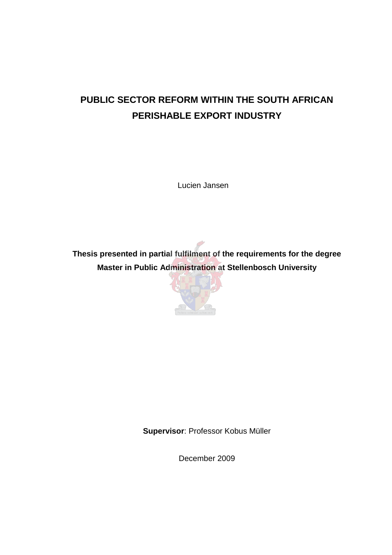# **PUBLIC SECTOR REFORM WITHIN THE SOUTH AFRICAN PERISHABLE EXPORT INDUSTRY**

Lucien Jansen

**Thesis presented in partial fulfilment of the requirements for the degree Master in Public Administration at Stellenbosch University** 



**Supervisor**: Professor Kobus Müller

December 2009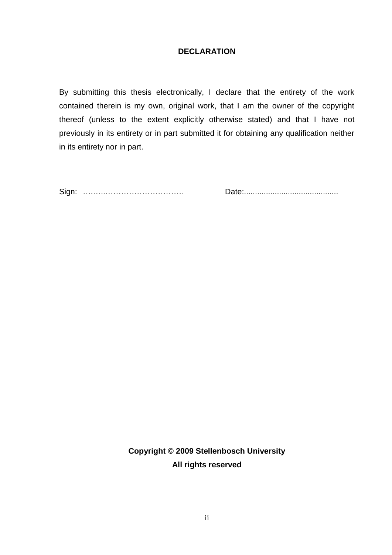## **DECLARATION**

By submitting this thesis electronically, I declare that the entirety of the work contained therein is my own, original work, that I am the owner of the copyright thereof (unless to the extent explicitly otherwise stated) and that I have not previously in its entirety or in part submitted it for obtaining any qualification neither in its entirety nor in part.

Sign: ….…..………………………… Date:...........................................

**Copyright © 2009 Stellenbosch University All rights reserved**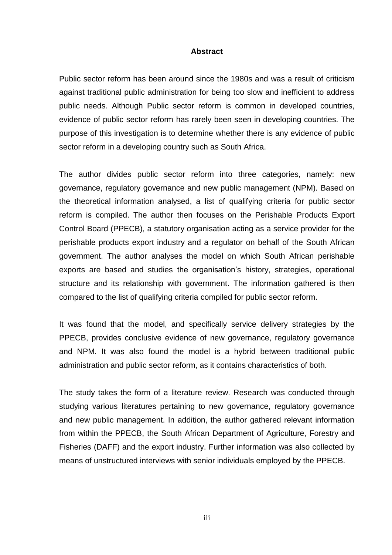#### **Abstract**

Public sector reform has been around since the 1980s and was a result of criticism against traditional public administration for being too slow and inefficient to address public needs. Although Public sector reform is common in developed countries, evidence of public sector reform has rarely been seen in developing countries. The purpose of this investigation is to determine whether there is any evidence of public sector reform in a developing country such as South Africa.

The author divides public sector reform into three categories, namely: new governance, regulatory governance and new public management (NPM). Based on the theoretical information analysed, a list of qualifying criteria for public sector reform is compiled. The author then focuses on the Perishable Products Export Control Board (PPECB), a statutory organisation acting as a service provider for the perishable products export industry and a regulator on behalf of the South African government. The author analyses the model on which South African perishable exports are based and studies the organisation"s history, strategies, operational structure and its relationship with government. The information gathered is then compared to the list of qualifying criteria compiled for public sector reform.

It was found that the model, and specifically service delivery strategies by the PPECB, provides conclusive evidence of new governance, regulatory governance and NPM. It was also found the model is a hybrid between traditional public administration and public sector reform, as it contains characteristics of both.

The study takes the form of a literature review. Research was conducted through studying various literatures pertaining to new governance, regulatory governance and new public management. In addition, the author gathered relevant information from within the PPECB, the South African Department of Agriculture, Forestry and Fisheries (DAFF) and the export industry. Further information was also collected by means of unstructured interviews with senior individuals employed by the PPECB.

iii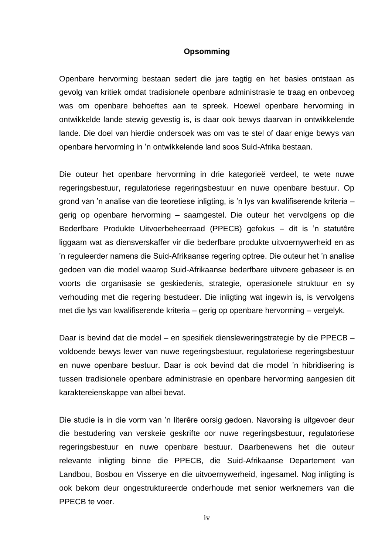#### **Opsomming**

Openbare hervorming bestaan sedert die jare tagtig en het basies ontstaan as gevolg van kritiek omdat tradisionele openbare administrasie te traag en onbevoeg was om openbare behoeftes aan te spreek. Hoewel openbare hervorming in ontwikkelde lande stewig gevestig is, is daar ook bewys daarvan in ontwikkelende lande. Die doel van hierdie ondersoek was om vas te stel of daar enige bewys van openbare hervorming in "n ontwikkelende land soos Suid-Afrika bestaan.

Die outeur het openbare hervorming in drie kategorieë verdeel, te wete nuwe regeringsbestuur, regulatoriese regeringsbestuur en nuwe openbare bestuur. Op grond van "n analise van die teoretiese inligting, is "n lys van kwalifiserende kriteria – gerig op openbare hervorming – saamgestel. Die outeur het vervolgens op die Bederfbare Produkte Uitvoerbeheerraad (PPECB) gefokus – dit is "n statutêre liggaam wat as diensverskaffer vir die bederfbare produkte uitvoernywerheid en as "n reguleerder namens die Suid-Afrikaanse regering optree. Die outeur het "n analise gedoen van die model waarop Suid-Afrikaanse bederfbare uitvoere gebaseer is en voorts die organisasie se geskiedenis, strategie, operasionele struktuur en sy verhouding met die regering bestudeer. Die inligting wat ingewin is, is vervolgens met die lys van kwalifiserende kriteria – gerig op openbare hervorming – vergelyk.

Daar is bevind dat die model – en spesifiek diensleweringstrategie by die PPECB – voldoende bewys lewer van nuwe regeringsbestuur, regulatoriese regeringsbestuur en nuwe openbare bestuur. Daar is ook bevind dat die model "n hibridisering is tussen tradisionele openbare administrasie en openbare hervorming aangesien dit karaktereienskappe van albei bevat.

Die studie is in die vorm van "n literêre oorsig gedoen. Navorsing is uitgevoer deur die bestudering van verskeie geskrifte oor nuwe regeringsbestuur, regulatoriese regeringsbestuur en nuwe openbare bestuur. Daarbenewens het die outeur relevante inligting binne die PPECB, die Suid-Afrikaanse Departement van Landbou, Bosbou en Visserye en die uitvoernywerheid, ingesamel. Nog inligting is ook bekom deur ongestruktureerde onderhoude met senior werknemers van die PPECB te voer.

iv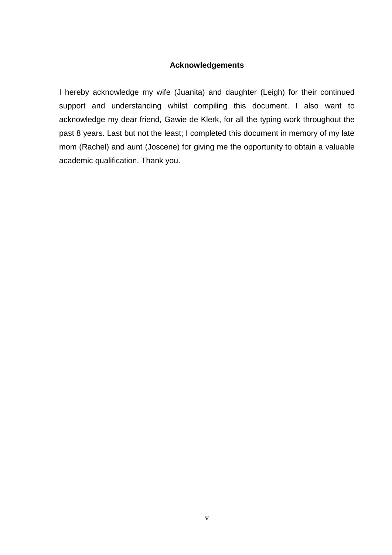## **Acknowledgements**

I hereby acknowledge my wife (Juanita) and daughter (Leigh) for their continued support and understanding whilst compiling this document. I also want to acknowledge my dear friend, Gawie de Klerk, for all the typing work throughout the past 8 years. Last but not the least; I completed this document in memory of my late mom (Rachel) and aunt (Joscene) for giving me the opportunity to obtain a valuable academic qualification. Thank you.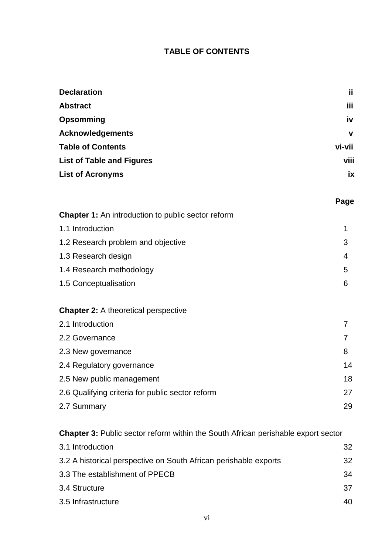## **TABLE OF CONTENTS**

| <b>Declaration</b>               | ii.         |
|----------------------------------|-------------|
| <b>Abstract</b>                  | iii         |
| <b>Opsomming</b>                 | iv          |
| <b>Acknowledgements</b>          | $\mathbf v$ |
| <b>Table of Contents</b>         | vi-vii      |
| <b>List of Table and Figures</b> | viii        |
| <b>List of Acronyms</b>          | ix          |
|                                  |             |

## **Page**

| <b>Chapter 1:</b> An introduction to public sector reform |    |
|-----------------------------------------------------------|----|
| 1.1 Introduction                                          | 1  |
| 1.2 Research problem and objective                        | 3  |
| 1.3 Research design                                       | 4  |
| 1.4 Research methodology                                  | 5  |
| 1.5 Conceptualisation                                     | 6  |
|                                                           |    |
| <b>Chapter 2:</b> A theoretical perspective               |    |
| 2.1 Introduction                                          | 7  |
| 2.2 Governance                                            |    |
| 2.3 New governance                                        | 8  |
| 2.4 Regulatory governance                                 | 14 |
| 2.5 New public management                                 | 18 |

| <b>E.O.</b> TOW pablic filation of the           | . . |
|--------------------------------------------------|-----|
| 2.6 Qualifying criteria for public sector reform |     |
| 2.7 Summary                                      | 29  |

## **Chapter 3:** Public sector reform within the South African perishable export sector

| 3.1 Introduction                                                 | 32  |
|------------------------------------------------------------------|-----|
| 3.2 A historical perspective on South African perishable exports | 32  |
| 3.3 The establishment of PPECB                                   | 34  |
| 3.4 Structure                                                    | 37  |
| 3.5 Infrastructure                                               | 40. |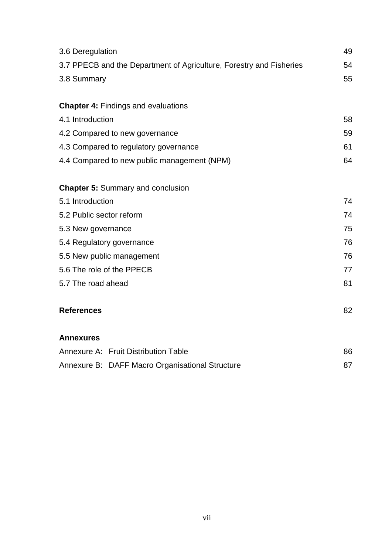| 3.6 Deregulation                                                    | 49 |
|---------------------------------------------------------------------|----|
| 3.7 PPECB and the Department of Agriculture, Forestry and Fisheries | 54 |
| 3.8 Summary                                                         | 55 |
|                                                                     |    |
| <b>Chapter 4: Findings and evaluations</b>                          |    |
| 4.1 Introduction                                                    | 58 |
| 4.2 Compared to new governance                                      | 59 |
| 4.3 Compared to regulatory governance                               | 61 |
| 4.4 Compared to new public management (NPM)                         | 64 |
| <b>Chapter 5: Summary and conclusion</b>                            |    |
| 5.1 Introduction                                                    | 74 |
| 5.2 Public sector reform                                            | 74 |
| 5.3 New governance                                                  | 75 |
| 5.4 Regulatory governance                                           | 76 |
| 5.5 New public management                                           | 76 |
| 5.6 The role of the PPECB                                           | 77 |
| 5.7 The road ahead                                                  | 81 |
| <b>References</b>                                                   | 82 |
| <b>Annexures</b>                                                    |    |
| Annexure A: Fruit Distribution Table                                | 86 |
| Annexure B: DAFF Macro Organisational Structure                     | 87 |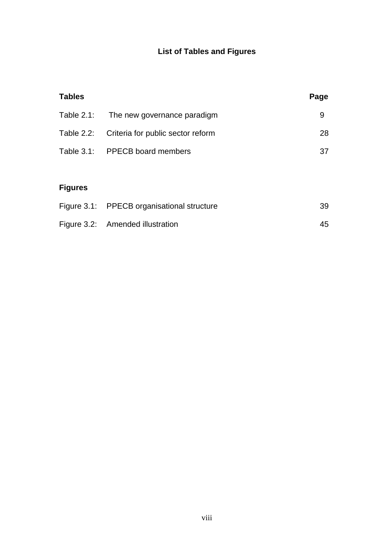## **List of Tables and Figures**

| <b>Tables</b> |                                              | Page |
|---------------|----------------------------------------------|------|
|               | Table 2.1: The new governance paradigm       | 9    |
|               | Table 2.2: Criteria for public sector reform | 28   |
|               | Table 3.1: PPECB board members               | 37   |
|               |                                              |      |

# **Figures**

| Figure 3.1: PPECB organisational structure | 39 |
|--------------------------------------------|----|
| Figure 3.2: Amended illustration           | 45 |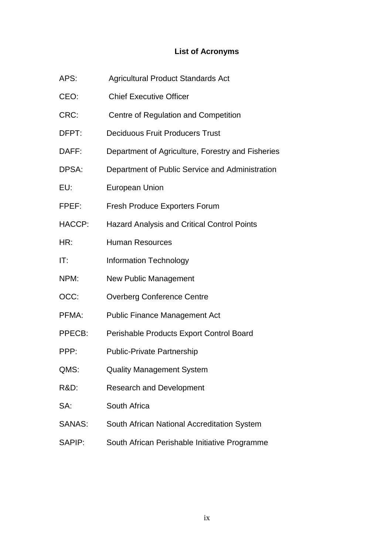## **List of Acronyms**

| APS:            | <b>Agricultural Product Standards Act</b>          |
|-----------------|----------------------------------------------------|
| CEO:            | <b>Chief Executive Officer</b>                     |
| CRC:            | Centre of Regulation and Competition               |
| DFPT:           | <b>Deciduous Fruit Producers Trust</b>             |
| DAFF:           | Department of Agriculture, Forestry and Fisheries  |
| DPSA:           | Department of Public Service and Administration    |
| EU:             | <b>European Union</b>                              |
| FPEF:           | <b>Fresh Produce Exporters Forum</b>               |
| HACCP:          | <b>Hazard Analysis and Critical Control Points</b> |
| HR:             | <b>Human Resources</b>                             |
| IT:             | <b>Information Technology</b>                      |
| NPM:            | <b>New Public Management</b>                       |
| OCC:            | <b>Overberg Conference Centre</b>                  |
| PFMA:           | <b>Public Finance Management Act</b>               |
| PPECB:          | Perishable Products Export Control Board           |
| PPP:            | <b>Public-Private Partnership</b>                  |
| QMS:            | <b>Quality Management System</b>                   |
| <b>R&amp;D:</b> | <b>Research and Development</b>                    |
| SA:             | South Africa                                       |
| <b>SANAS:</b>   | South African National Accreditation System        |
| SAPIP:          | South African Perishable Initiative Programme      |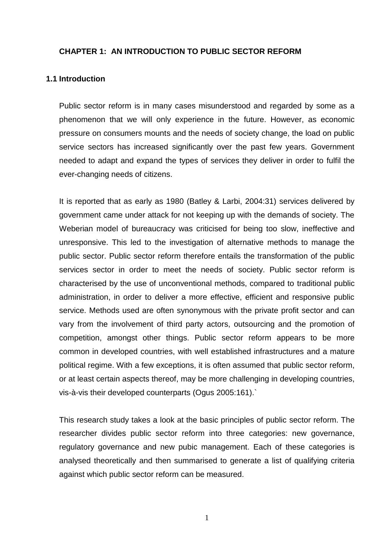## **CHAPTER 1: AN INTRODUCTION TO PUBLIC SECTOR REFORM**

#### **1.1 Introduction**

Public sector reform is in many cases misunderstood and regarded by some as a phenomenon that we will only experience in the future. However, as economic pressure on consumers mounts and the needs of society change, the load on public service sectors has increased significantly over the past few years. Government needed to adapt and expand the types of services they deliver in order to fulfil the ever-changing needs of citizens.

It is reported that as early as 1980 (Batley & Larbi, 2004:31) services delivered by government came under attack for not keeping up with the demands of society. The Weberian model of bureaucracy was criticised for being too slow, ineffective and unresponsive. This led to the investigation of alternative methods to manage the public sector. Public sector reform therefore entails the transformation of the public services sector in order to meet the needs of society. Public sector reform is characterised by the use of unconventional methods, compared to traditional public administration, in order to deliver a more effective, efficient and responsive public service. Methods used are often synonymous with the private profit sector and can vary from the involvement of third party actors, outsourcing and the promotion of competition, amongst other things. Public sector reform appears to be more common in developed countries, with well established infrastructures and a mature political regime. With a few exceptions, it is often assumed that public sector reform, or at least certain aspects thereof, may be more challenging in developing countries, vis-à-vis their developed counterparts (Ogus 2005:161).`

This research study takes a look at the basic principles of public sector reform. The researcher divides public sector reform into three categories: new governance, regulatory governance and new pubic management. Each of these categories is analysed theoretically and then summarised to generate a list of qualifying criteria against which public sector reform can be measured.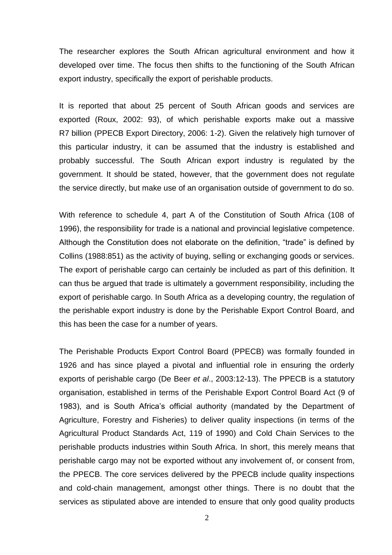The researcher explores the South African agricultural environment and how it developed over time. The focus then shifts to the functioning of the South African export industry, specifically the export of perishable products.

It is reported that about 25 percent of South African goods and services are exported (Roux, 2002: 93), of which perishable exports make out a massive R7 billion (PPECB Export Directory, 2006: 1-2). Given the relatively high turnover of this particular industry, it can be assumed that the industry is established and probably successful. The South African export industry is regulated by the government. It should be stated, however, that the government does not regulate the service directly, but make use of an organisation outside of government to do so.

With reference to schedule 4, part A of the Constitution of South Africa (108 of 1996), the responsibility for trade is a national and provincial legislative competence. Although the Constitution does not elaborate on the definition, "trade" is defined by Collins (1988:851) as the activity of buying, selling or exchanging goods or services. The export of perishable cargo can certainly be included as part of this definition. It can thus be argued that trade is ultimately a government responsibility, including the export of perishable cargo. In South Africa as a developing country, the regulation of the perishable export industry is done by the Perishable Export Control Board, and this has been the case for a number of years.

The Perishable Products Export Control Board (PPECB) was formally founded in 1926 and has since played a pivotal and influential role in ensuring the orderly exports of perishable cargo (De Beer *et al*., 2003:12-13). The PPECB is a statutory organisation, established in terms of the Perishable Export Control Board Act (9 of 1983), and is South Africa's official authority (mandated by the Department of Agriculture, Forestry and Fisheries) to deliver quality inspections (in terms of the Agricultural Product Standards Act, 119 of 1990) and Cold Chain Services to the perishable products industries within South Africa. In short, this merely means that perishable cargo may not be exported without any involvement of, or consent from, the PPECB. The core services delivered by the PPECB include quality inspections and cold-chain management, amongst other things. There is no doubt that the services as stipulated above are intended to ensure that only good quality products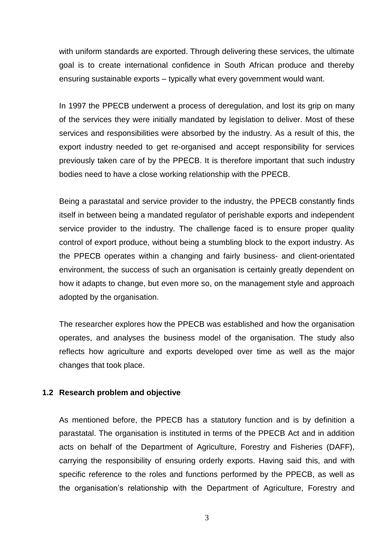with uniform standards are exported. Through delivering these services, the ultimate goal is to create international confidence in South African produce and thereby ensuring sustainable exports – typically what every government would want.

In 1997 the PPECB underwent a process of deregulation, and lost its grip on many of the services they were initially mandated by legislation to deliver. Most of these services and responsibilities were absorbed by the industry. As a result of this, the export industry needed to get re-organised and accept responsibility for services previously taken care of by the PPECB. It is therefore important that such industry bodies need to have a close working relationship with the PPECB.

Being a parastatal and service provider to the industry, the PPECB constantly finds itself in between being a mandated regulator of perishable exports and independent service provider to the industry. The challenge faced is to ensure proper quality control of export produce, without being a stumbling block to the export industry. As the PPECB operates within a changing and fairly business- and client-orientated environment, the success of such an organisation is certainly greatly dependent on how it adapts to change, but even more so, on the management style and approach adopted by the organisation.

The researcher explores how the PPECB was established and how the organisation operates, and analyses the business model of the organisation. The study also reflects how agriculture and exports developed over time as well as the major changes that took place.

#### **1.2 Research problem and objective**

As mentioned before, the PPECB has a statutory function and is by definition a parastatal. The organisation is instituted in terms of the PPECB Act and in addition acts on behalf of the Department of Agriculture, Forestry and Fisheries (DAFF), carrying the responsibility of ensuring orderly exports. Having said this, and with specific reference to the roles and functions performed by the PPECB, as well as the organisation"s relationship with the Department of Agriculture, Forestry and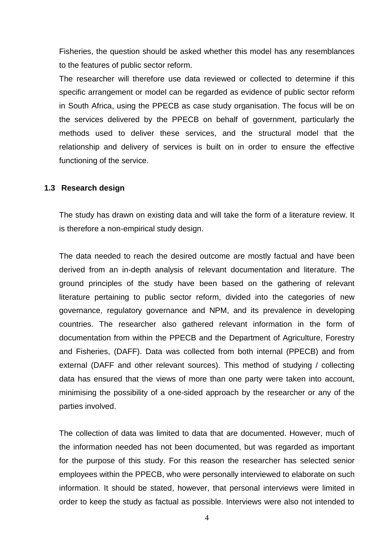Fisheries, the question should be asked whether this model has any resemblances to the features of public sector reform.

The researcher will therefore use data reviewed or collected to determine if this specific arrangement or model can be regarded as evidence of public sector reform in South Africa, using the PPECB as case study organisation. The focus will be on the services delivered by the PPECB on behalf of government, particularly the methods used to deliver these services, and the structural model that the relationship and delivery of services is built on in order to ensure the effective functioning of the service.

#### **1.3 Research design**

The study has drawn on existing data and will take the form of a literature review. It is therefore a non-empirical study design.

The data needed to reach the desired outcome are mostly factual and have been derived from an in-depth analysis of relevant documentation and literature. The ground principles of the study have been based on the gathering of relevant literature pertaining to public sector reform, divided into the categories of new governance, regulatory governance and NPM, and its prevalence in developing countries. The researcher also gathered relevant information in the form of documentation from within the PPECB and the Department of Agriculture, Forestry and Fisheries, (DAFF). Data was collected from both internal (PPECB) and from external (DAFF and other relevant sources). This method of studying / collecting data has ensured that the views of more than one party were taken into account, minimising the possibility of a one-sided approach by the researcher or any of the parties involved.

The collection of data was limited to data that are documented. However, much of the information needed has not been documented, but was regarded as important for the purpose of this study. For this reason the researcher has selected senior employees within the PPECB, who were personally interviewed to elaborate on such information. It should be stated, however, that personal interviews were limited in order to keep the study as factual as possible. Interviews were also not intended to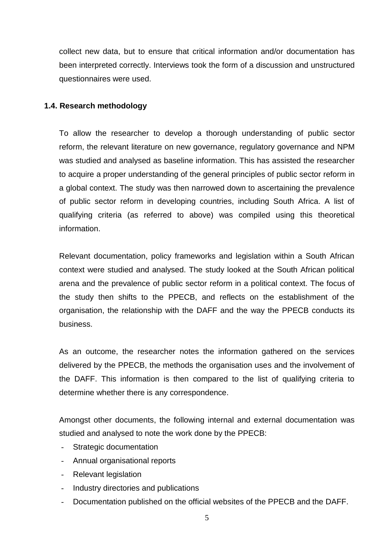collect new data, but to ensure that critical information and/or documentation has been interpreted correctly. Interviews took the form of a discussion and unstructured questionnaires were used.

## **1.4. Research methodology**

To allow the researcher to develop a thorough understanding of public sector reform, the relevant literature on new governance, regulatory governance and NPM was studied and analysed as baseline information. This has assisted the researcher to acquire a proper understanding of the general principles of public sector reform in a global context. The study was then narrowed down to ascertaining the prevalence of public sector reform in developing countries, including South Africa. A list of qualifying criteria (as referred to above) was compiled using this theoretical information.

Relevant documentation, policy frameworks and legislation within a South African context were studied and analysed. The study looked at the South African political arena and the prevalence of public sector reform in a political context. The focus of the study then shifts to the PPECB, and reflects on the establishment of the organisation, the relationship with the DAFF and the way the PPECB conducts its business.

As an outcome, the researcher notes the information gathered on the services delivered by the PPECB, the methods the organisation uses and the involvement of the DAFF. This information is then compared to the list of qualifying criteria to determine whether there is any correspondence.

Amongst other documents, the following internal and external documentation was studied and analysed to note the work done by the PPECB:

- Strategic documentation
- Annual organisational reports
- Relevant legislation
- Industry directories and publications
- Documentation published on the official websites of the PPECB and the DAFF.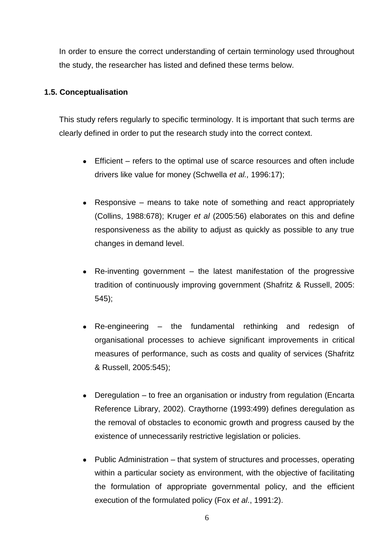In order to ensure the correct understanding of certain terminology used throughout the study, the researcher has listed and defined these terms below.

## **1.5. Conceptualisation**

This study refers regularly to specific terminology. It is important that such terms are clearly defined in order to put the research study into the correct context.

- Efficient refers to the optimal use of scarce resources and often include drivers like value for money (Schwella *et al.,* 1996:17);
- Responsive means to take note of something and react appropriately (Collins, 1988:678); Kruger *et al* (2005:56) elaborates on this and define responsiveness as the ability to adjust as quickly as possible to any true changes in demand level.
- Re-inventing government the latest manifestation of the progressive tradition of continuously improving government (Shafritz & Russell, 2005: 545);
- Re-engineering the fundamental rethinking and redesign of organisational processes to achieve significant improvements in critical measures of performance, such as costs and quality of services (Shafritz & Russell, 2005:545);
- Deregulation to free an organisation or industry from regulation (Encarta Reference Library, 2002). Craythorne (1993:499) defines deregulation as the removal of obstacles to economic growth and progress caused by the existence of unnecessarily restrictive legislation or policies.
- Public Administration that system of structures and processes, operating within a particular society as environment, with the objective of facilitating the formulation of appropriate governmental policy, and the efficient execution of the formulated policy (Fox *et al*., 1991:2).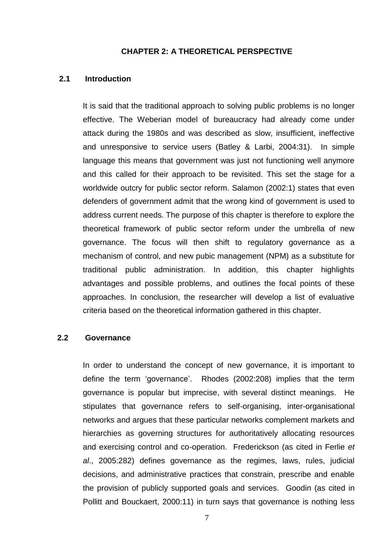#### **CHAPTER 2: A THEORETICAL PERSPECTIVE**

### **2.1 Introduction**

It is said that the traditional approach to solving public problems is no longer effective. The Weberian model of bureaucracy had already come under attack during the 1980s and was described as slow, insufficient, ineffective and unresponsive to service users (Batley & Larbi, 2004:31). In simple language this means that government was just not functioning well anymore and this called for their approach to be revisited. This set the stage for a worldwide outcry for public sector reform. Salamon (2002:1) states that even defenders of government admit that the wrong kind of government is used to address current needs. The purpose of this chapter is therefore to explore the theoretical framework of public sector reform under the umbrella of new governance. The focus will then shift to regulatory governance as a mechanism of control, and new pubic management (NPM) as a substitute for traditional public administration. In addition, this chapter highlights advantages and possible problems, and outlines the focal points of these approaches. In conclusion, the researcher will develop a list of evaluative criteria based on the theoretical information gathered in this chapter.

### **2.2 Governance**

In order to understand the concept of new governance, it is important to define the term "governance". Rhodes (2002:208) implies that the term governance is popular but imprecise, with several distinct meanings. He stipulates that governance refers to self-organising, inter-organisational networks and argues that these particular networks complement markets and hierarchies as governing structures for authoritatively allocating resources and exercising control and co-operation. Frederickson (as cited in Ferlie *et al*., 2005:282) defines governance as the regimes, laws, rules, judicial decisions, and administrative practices that constrain, prescribe and enable the provision of publicly supported goals and services. Goodin (as cited in Pollitt and Bouckaert, 2000:11) in turn says that governance is nothing less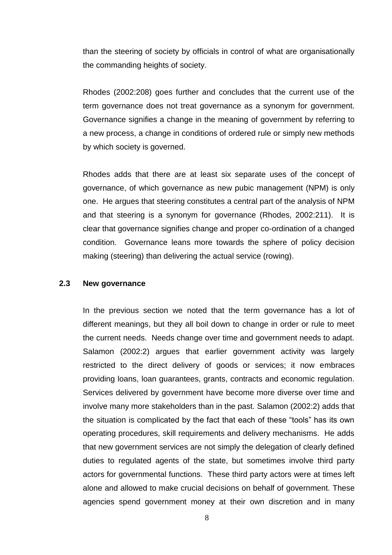than the steering of society by officials in control of what are organisationally the commanding heights of society.

Rhodes (2002:208) goes further and concludes that the current use of the term governance does not treat governance as a synonym for government. Governance signifies a change in the meaning of government by referring to a new process, a change in conditions of ordered rule or simply new methods by which society is governed.

Rhodes adds that there are at least six separate uses of the concept of governance, of which governance as new pubic management (NPM) is only one. He argues that steering constitutes a central part of the analysis of NPM and that steering is a synonym for governance (Rhodes, 2002:211). It is clear that governance signifies change and proper co-ordination of a changed condition. Governance leans more towards the sphere of policy decision making (steering) than delivering the actual service (rowing).

#### **2.3 New governance**

In the previous section we noted that the term governance has a lot of different meanings, but they all boil down to change in order or rule to meet the current needs. Needs change over time and government needs to adapt. Salamon (2002:2) argues that earlier government activity was largely restricted to the direct delivery of goods or services; it now embraces providing loans, loan guarantees, grants, contracts and economic regulation. Services delivered by government have become more diverse over time and involve many more stakeholders than in the past. Salamon (2002:2) adds that the situation is complicated by the fact that each of these "tools" has its own operating procedures, skill requirements and delivery mechanisms. He adds that new government services are not simply the delegation of clearly defined duties to regulated agents of the state, but sometimes involve third party actors for governmental functions. These third party actors were at times left alone and allowed to make crucial decisions on behalf of government. These agencies spend government money at their own discretion and in many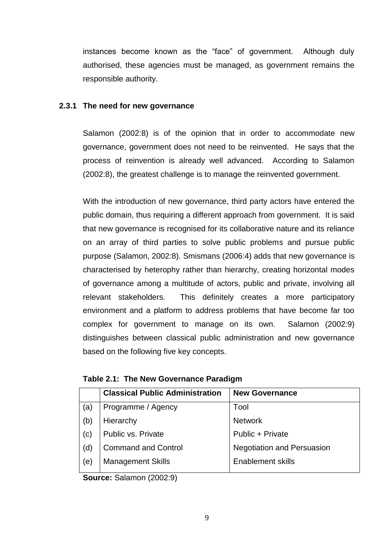instances become known as the "face" of government. Although duly authorised, these agencies must be managed, as government remains the responsible authority.

### **2.3.1 The need for new governance**

Salamon (2002:8) is of the opinion that in order to accommodate new governance, government does not need to be reinvented. He says that the process of reinvention is already well advanced. According to Salamon (2002:8), the greatest challenge is to manage the reinvented government.

With the introduction of new governance, third party actors have entered the public domain, thus requiring a different approach from government. It is said that new governance is recognised for its collaborative nature and its reliance on an array of third parties to solve public problems and pursue public purpose (Salamon, 2002:8). Smismans (2006:4) adds that new governance is characterised by heterophy rather than hierarchy, creating horizontal modes of governance among a multitude of actors, public and private, involving all relevant stakeholders. This definitely creates a more participatory environment and a platform to address problems that have become far too complex for government to manage on its own. Salamon (2002:9) distinguishes between classical public administration and new governance based on the following five key concepts.

| <b>Classical Public Administration</b> | <b>New Governance</b>             |
|----------------------------------------|-----------------------------------|
| Programme / Agency                     | Tool                              |
| Hierarchy                              | <b>Network</b>                    |
| Public vs. Private                     | Public + Private                  |
| <b>Command and Control</b>             | <b>Negotiation and Persuasion</b> |
| <b>Management Skills</b>               | <b>Enablement skills</b>          |
|                                        |                                   |

**Table 2.1: The New Governance Paradigm**

**Source:** Salamon (2002:9)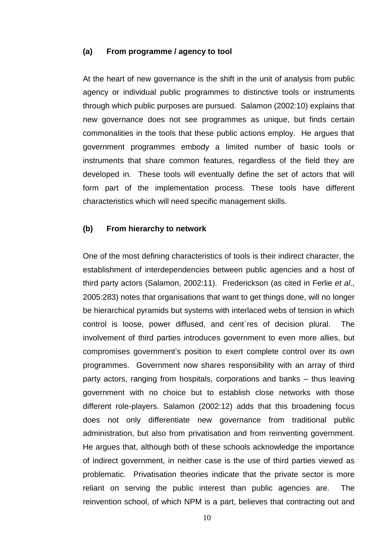#### **(a) From programme / agency to tool**

At the heart of new governance is the shift in the unit of analysis from public agency or individual public programmes to distinctive tools or instruments through which public purposes are pursued. Salamon (2002:10) explains that new governance does not see programmes as unique, but finds certain commonalities in the tools that these public actions employ. He argues that government programmes embody a limited number of basic tools or instruments that share common features, regardless of the field they are developed in. These tools will eventually define the set of actors that will form part of the implementation process. These tools have different characteristics which will need specific management skills.

#### **(b) From hierarchy to network**

One of the most defining characteristics of tools is their indirect character, the establishment of interdependencies between public agencies and a host of third party actors (Salamon, 2002:11). Frederickson (as cited in Ferlie *et al*., 2005:283) notes that organisations that want to get things done, will no longer be hierarchical pyramids but systems with interlaced webs of tension in which control is loose, power diffused, and cent`res of decision plural. The involvement of third parties introduces government to even more allies, but compromises government"s position to exert complete control over its own programmes. Government now shares responsibility with an array of third party actors, ranging from hospitals, corporations and banks – thus leaving government with no choice but to establish close networks with those different role-players. Salamon (2002:12) adds that this broadening focus does not only differentiate new governance from traditional public administration, but also from privatisation and from reinventing government. He argues that, although both of these schools acknowledge the importance of indirect government, in neither case is the use of third parties viewed as problematic. Privatisation theories indicate that the private sector is more reliant on serving the public interest than public agencies are. The reinvention school, of which NPM is a part, believes that contracting out and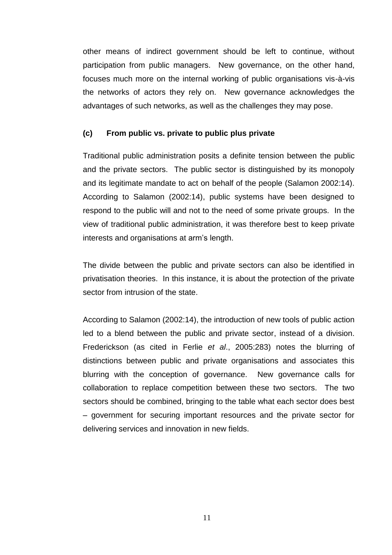other means of indirect government should be left to continue, without participation from public managers. New governance, on the other hand, focuses much more on the internal working of public organisations vis-à-vis the networks of actors they rely on. New governance acknowledges the advantages of such networks, as well as the challenges they may pose.

### **(c) From public vs. private to public plus private**

Traditional public administration posits a definite tension between the public and the private sectors. The public sector is distinguished by its monopoly and its legitimate mandate to act on behalf of the people (Salamon 2002:14). According to Salamon (2002:14), public systems have been designed to respond to the public will and not to the need of some private groups. In the view of traditional public administration, it was therefore best to keep private interests and organisations at arm"s length.

The divide between the public and private sectors can also be identified in privatisation theories. In this instance, it is about the protection of the private sector from intrusion of the state.

According to Salamon (2002:14), the introduction of new tools of public action led to a blend between the public and private sector, instead of a division. Frederickson (as cited in Ferlie *et al*., 2005:283) notes the blurring of distinctions between public and private organisations and associates this blurring with the conception of governance. New governance calls for collaboration to replace competition between these two sectors. The two sectors should be combined, bringing to the table what each sector does best – government for securing important resources and the private sector for delivering services and innovation in new fields.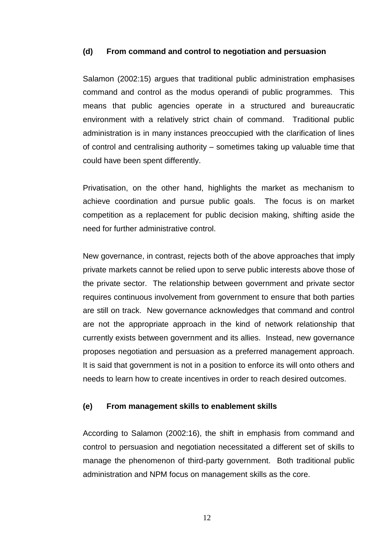#### **(d) From command and control to negotiation and persuasion**

Salamon (2002:15) argues that traditional public administration emphasises command and control as the modus operandi of public programmes. This means that public agencies operate in a structured and bureaucratic environment with a relatively strict chain of command. Traditional public administration is in many instances preoccupied with the clarification of lines of control and centralising authority – sometimes taking up valuable time that could have been spent differently.

Privatisation, on the other hand, highlights the market as mechanism to achieve coordination and pursue public goals. The focus is on market competition as a replacement for public decision making, shifting aside the need for further administrative control.

New governance, in contrast, rejects both of the above approaches that imply private markets cannot be relied upon to serve public interests above those of the private sector. The relationship between government and private sector requires continuous involvement from government to ensure that both parties are still on track. New governance acknowledges that command and control are not the appropriate approach in the kind of network relationship that currently exists between government and its allies. Instead, new governance proposes negotiation and persuasion as a preferred management approach. It is said that government is not in a position to enforce its will onto others and needs to learn how to create incentives in order to reach desired outcomes.

#### **(e) From management skills to enablement skills**

According to Salamon (2002:16), the shift in emphasis from command and control to persuasion and negotiation necessitated a different set of skills to manage the phenomenon of third-party government. Both traditional public administration and NPM focus on management skills as the core.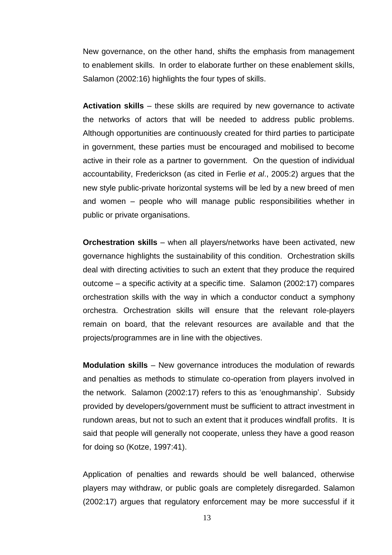New governance, on the other hand, shifts the emphasis from management to enablement skills. In order to elaborate further on these enablement skills, Salamon (2002:16) highlights the four types of skills.

**Activation skills** – these skills are required by new governance to activate the networks of actors that will be needed to address public problems. Although opportunities are continuously created for third parties to participate in government, these parties must be encouraged and mobilised to become active in their role as a partner to government. On the question of individual accountability, Frederickson (as cited in Ferlie *et al*., 2005:2) argues that the new style public-private horizontal systems will be led by a new breed of men and women – people who will manage public responsibilities whether in public or private organisations.

**Orchestration skills** – when all players/networks have been activated, new governance highlights the sustainability of this condition. Orchestration skills deal with directing activities to such an extent that they produce the required outcome – a specific activity at a specific time. Salamon (2002:17) compares orchestration skills with the way in which a conductor conduct a symphony orchestra. Orchestration skills will ensure that the relevant role-players remain on board, that the relevant resources are available and that the projects/programmes are in line with the objectives.

**Modulation skills** – New governance introduces the modulation of rewards and penalties as methods to stimulate co-operation from players involved in the network. Salamon (2002:17) refers to this as 'enoughmanship'. Subsidy provided by developers/government must be sufficient to attract investment in rundown areas, but not to such an extent that it produces windfall profits. It is said that people will generally not cooperate, unless they have a good reason for doing so (Kotze, 1997:41).

Application of penalties and rewards should be well balanced, otherwise players may withdraw, or public goals are completely disregarded. Salamon (2002:17) argues that regulatory enforcement may be more successful if it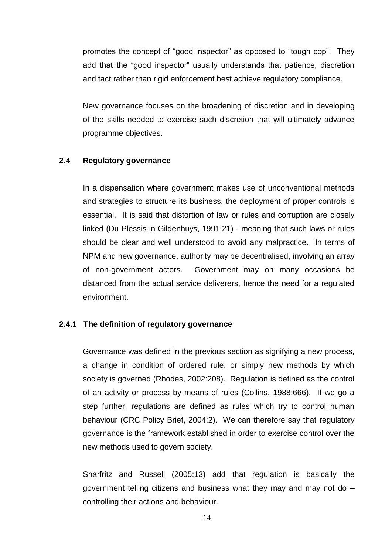promotes the concept of "good inspector" as opposed to "tough cop". They add that the "good inspector" usually understands that patience, discretion and tact rather than rigid enforcement best achieve regulatory compliance.

New governance focuses on the broadening of discretion and in developing of the skills needed to exercise such discretion that will ultimately advance programme objectives.

## **2.4 Regulatory governance**

In a dispensation where government makes use of unconventional methods and strategies to structure its business, the deployment of proper controls is essential. It is said that distortion of law or rules and corruption are closely linked (Du Plessis in Gildenhuys, 1991:21) - meaning that such laws or rules should be clear and well understood to avoid any malpractice. In terms of NPM and new governance, authority may be decentralised, involving an array of non-government actors. Government may on many occasions be distanced from the actual service deliverers, hence the need for a regulated environment.

#### **2.4.1 The definition of regulatory governance**

Governance was defined in the previous section as signifying a new process, a change in condition of ordered rule, or simply new methods by which society is governed (Rhodes, 2002:208). Regulation is defined as the control of an activity or process by means of rules (Collins, 1988:666). If we go a step further, regulations are defined as rules which try to control human behaviour (CRC Policy Brief, 2004:2). We can therefore say that regulatory governance is the framework established in order to exercise control over the new methods used to govern society.

Sharfritz and Russell (2005:13) add that regulation is basically the government telling citizens and business what they may and may not do – controlling their actions and behaviour.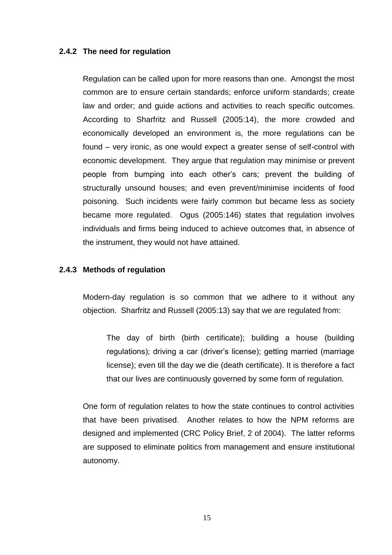### **2.4.2 The need for regulation**

Regulation can be called upon for more reasons than one. Amongst the most common are to ensure certain standards; enforce uniform standards; create law and order; and guide actions and activities to reach specific outcomes. According to Sharfritz and Russell (2005:14), the more crowded and economically developed an environment is, the more regulations can be found – very ironic, as one would expect a greater sense of self-control with economic development. They argue that regulation may minimise or prevent people from bumping into each other"s cars; prevent the building of structurally unsound houses; and even prevent/minimise incidents of food poisoning. Such incidents were fairly common but became less as society became more regulated. Ogus (2005:146) states that regulation involves individuals and firms being induced to achieve outcomes that, in absence of the instrument, they would not have attained.

#### **2.4.3 Methods of regulation**

Modern-day regulation is so common that we adhere to it without any objection. Sharfritz and Russell (2005:13) say that we are regulated from:

The day of birth (birth certificate); building a house (building regulations); driving a car (driver's license); getting married (marriage license); even till the day we die (death certificate). It is therefore a fact that our lives are continuously governed by some form of regulation.

One form of regulation relates to how the state continues to control activities that have been privatised. Another relates to how the NPM reforms are designed and implemented (CRC Policy Brief, 2 of 2004). The latter reforms are supposed to eliminate politics from management and ensure institutional autonomy.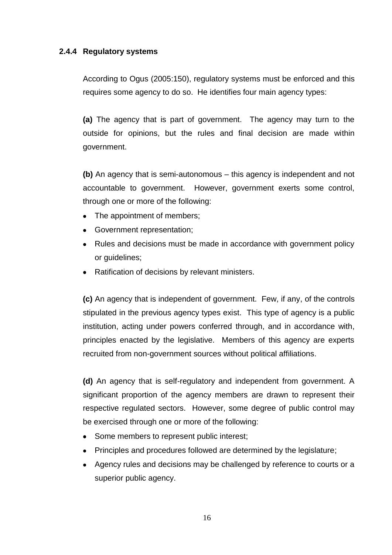## **2.4.4 Regulatory systems**

According to Ogus (2005:150), regulatory systems must be enforced and this requires some agency to do so. He identifies four main agency types:

**(a)** The agency that is part of government. The agency may turn to the outside for opinions, but the rules and final decision are made within government.

**(b)** An agency that is semi-autonomous – this agency is independent and not accountable to government. However, government exerts some control, through one or more of the following:

- The appointment of members;
- Government representation;
- Rules and decisions must be made in accordance with government policy or guidelines;
- Ratification of decisions by relevant ministers.

**(c)** An agency that is independent of government. Few, if any, of the controls stipulated in the previous agency types exist. This type of agency is a public institution, acting under powers conferred through, and in accordance with, principles enacted by the legislative. Members of this agency are experts recruited from non-government sources without political affiliations.

**(d)** An agency that is self-regulatory and independent from government. A significant proportion of the agency members are drawn to represent their respective regulated sectors. However, some degree of public control may be exercised through one or more of the following:

- Some members to represent public interest;
- Principles and procedures followed are determined by the legislature;
- Agency rules and decisions may be challenged by reference to courts or a superior public agency.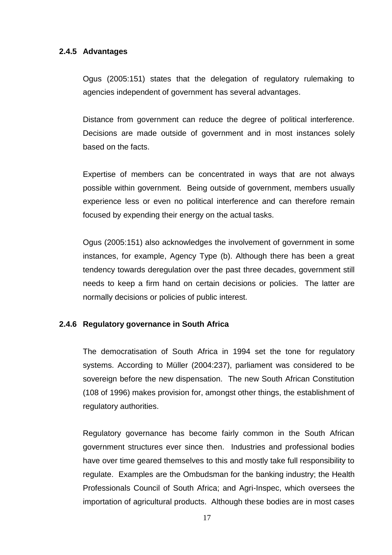### **2.4.5 Advantages**

Ogus (2005:151) states that the delegation of regulatory rulemaking to agencies independent of government has several advantages.

Distance from government can reduce the degree of political interference. Decisions are made outside of government and in most instances solely based on the facts.

Expertise of members can be concentrated in ways that are not always possible within government. Being outside of government, members usually experience less or even no political interference and can therefore remain focused by expending their energy on the actual tasks.

Ogus (2005:151) also acknowledges the involvement of government in some instances, for example, Agency Type (b). Although there has been a great tendency towards deregulation over the past three decades, government still needs to keep a firm hand on certain decisions or policies. The latter are normally decisions or policies of public interest.

## **2.4.6 Regulatory governance in South Africa**

The democratisation of South Africa in 1994 set the tone for regulatory systems. According to Müller (2004:237), parliament was considered to be sovereign before the new dispensation. The new South African Constitution (108 of 1996) makes provision for, amongst other things, the establishment of regulatory authorities.

Regulatory governance has become fairly common in the South African government structures ever since then. Industries and professional bodies have over time geared themselves to this and mostly take full responsibility to regulate. Examples are the Ombudsman for the banking industry; the Health Professionals Council of South Africa; and Agri-Inspec, which oversees the importation of agricultural products. Although these bodies are in most cases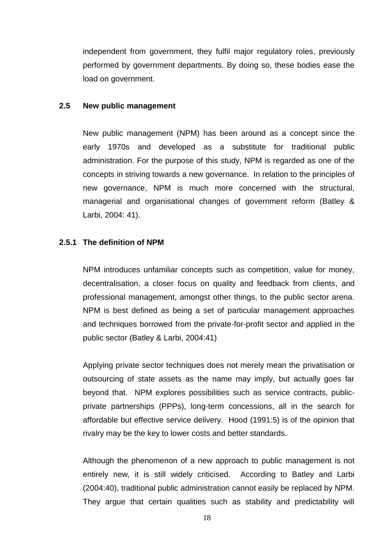independent from government, they fulfil major regulatory roles, previously performed by government departments. By doing so, these bodies ease the load on government.

#### **2.5 New public management**

New public management (NPM) has been around as a concept since the early 1970s and developed as a substitute for traditional public administration. For the purpose of this study, NPM is regarded as one of the concepts in striving towards a new governance. In relation to the principles of new governance, NPM is much more concerned with the structural, managerial and organisational changes of government reform (Batley & Larbi, 2004: 41).

## **2.5.1 The definition of NPM**

NPM introduces unfamiliar concepts such as competition, value for money, decentralisation, a closer focus on quality and feedback from clients, and professional management, amongst other things, to the public sector arena. NPM is best defined as being a set of particular management approaches and techniques borrowed from the private-for-profit sector and applied in the public sector (Batley & Larbi, 2004:41)

Applying private sector techniques does not merely mean the privatisation or outsourcing of state assets as the name may imply, but actually goes far beyond that. NPM explores possibilities such as service contracts, publicprivate partnerships (PPPs), long-term concessions, all in the search for affordable but effective service delivery. Hood (1991:5) is of the opinion that rivalry may be the key to lower costs and better standards.

Although the phenomenon of a new approach to public management is not entirely new, it is still widely criticised. According to Batley and Larbi (2004:40), traditional public administration cannot easily be replaced by NPM. They argue that certain qualities such as stability and predictability will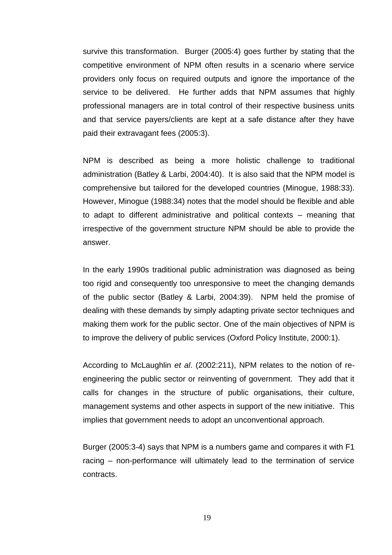survive this transformation. Burger (2005:4) goes further by stating that the competitive environment of NPM often results in a scenario where service providers only focus on required outputs and ignore the importance of the service to be delivered. He further adds that NPM assumes that highly professional managers are in total control of their respective business units and that service payers/clients are kept at a safe distance after they have paid their extravagant fees (2005:3).

NPM is described as being a more holistic challenge to traditional administration (Batley & Larbi, 2004:40). It is also said that the NPM model is comprehensive but tailored for the developed countries (Minogue, 1988:33). However, Minogue (1988:34) notes that the model should be flexible and able to adapt to different administrative and political contexts – meaning that irrespective of the government structure NPM should be able to provide the answer.

In the early 1990s traditional public administration was diagnosed as being too rigid and consequently too unresponsive to meet the changing demands of the public sector (Batley & Larbi, 2004:39). NPM held the promise of dealing with these demands by simply adapting private sector techniques and making them work for the public sector. One of the main objectives of NPM is to improve the delivery of public services (Oxford Policy Institute, 2000:1).

According to McLaughlin *et al*. (2002:211), NPM relates to the notion of reengineering the public sector or reinventing of government. They add that it calls for changes in the structure of public organisations, their culture, management systems and other aspects in support of the new initiative. This implies that government needs to adopt an unconventional approach.

Burger (2005:3-4) says that NPM is a numbers game and compares it with F1 racing – non-performance will ultimately lead to the termination of service contracts.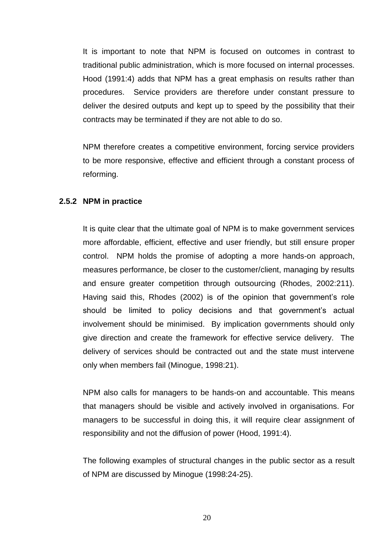It is important to note that NPM is focused on outcomes in contrast to traditional public administration, which is more focused on internal processes. Hood (1991:4) adds that NPM has a great emphasis on results rather than procedures. Service providers are therefore under constant pressure to deliver the desired outputs and kept up to speed by the possibility that their contracts may be terminated if they are not able to do so.

NPM therefore creates a competitive environment, forcing service providers to be more responsive, effective and efficient through a constant process of reforming.

#### **2.5.2 NPM in practice**

It is quite clear that the ultimate goal of NPM is to make government services more affordable, efficient, effective and user friendly, but still ensure proper control. NPM holds the promise of adopting a more hands-on approach, measures performance, be closer to the customer/client, managing by results and ensure greater competition through outsourcing (Rhodes, 2002:211). Having said this, Rhodes (2002) is of the opinion that government's role should be limited to policy decisions and that government's actual involvement should be minimised. By implication governments should only give direction and create the framework for effective service delivery. The delivery of services should be contracted out and the state must intervene only when members fail (Minogue, 1998:21).

NPM also calls for managers to be hands-on and accountable. This means that managers should be visible and actively involved in organisations. For managers to be successful in doing this, it will require clear assignment of responsibility and not the diffusion of power (Hood, 1991:4).

The following examples of structural changes in the public sector as a result of NPM are discussed by Minogue (1998:24-25).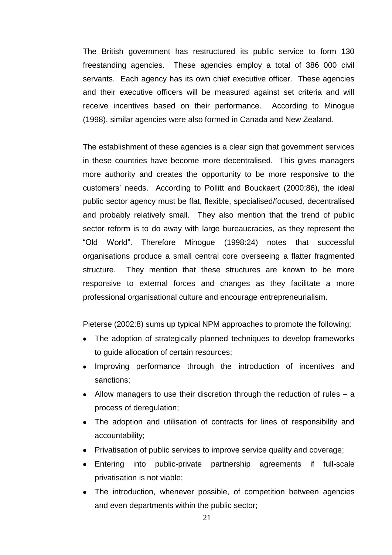The British government has restructured its public service to form 130 freestanding agencies. These agencies employ a total of 386 000 civil servants. Each agency has its own chief executive officer. These agencies and their executive officers will be measured against set criteria and will receive incentives based on their performance. According to Minogue (1998), similar agencies were also formed in Canada and New Zealand.

The establishment of these agencies is a clear sign that government services in these countries have become more decentralised. This gives managers more authority and creates the opportunity to be more responsive to the customers" needs. According to Pollitt and Bouckaert (2000:86), the ideal public sector agency must be flat, flexible, specialised/focused, decentralised and probably relatively small. They also mention that the trend of public sector reform is to do away with large bureaucracies, as they represent the "Old World". Therefore Minogue (1998:24) notes that successful organisations produce a small central core overseeing a flatter fragmented structure. They mention that these structures are known to be more responsive to external forces and changes as they facilitate a more professional organisational culture and encourage entrepreneurialism.

Pieterse (2002:8) sums up typical NPM approaches to promote the following:

- The adoption of strategically planned techniques to develop frameworks to guide allocation of certain resources;
- Improving performance through the introduction of incentives and sanctions;
- Allow managers to use their discretion through the reduction of rules a process of deregulation;
- The adoption and utilisation of contracts for lines of responsibility and accountability;
- Privatisation of public services to improve service quality and coverage;
- Entering into public-private partnership agreements if full-scale privatisation is not viable;
- The introduction, whenever possible, of competition between agencies and even departments within the public sector;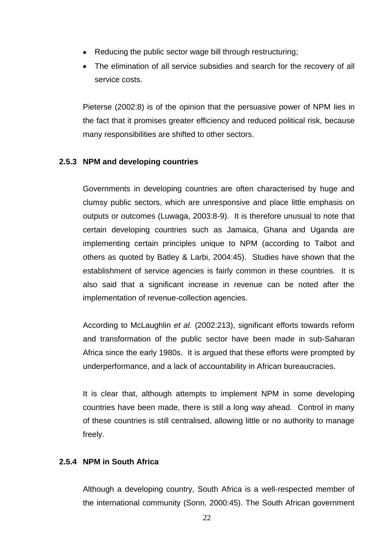- Reducing the public sector wage bill through restructuring;
- The elimination of all service subsidies and search for the recovery of all service costs.

Pieterse (2002:8) is of the opinion that the persuasive power of NPM lies in the fact that it promises greater efficiency and reduced political risk, because many responsibilities are shifted to other sectors.

## **2.5.3 NPM and developing countries**

Governments in developing countries are often characterised by huge and clumsy public sectors, which are unresponsive and place little emphasis on outputs or outcomes (Luwaga, 2003:8-9). It is therefore unusual to note that certain developing countries such as Jamaica, Ghana and Uganda are implementing certain principles unique to NPM (according to Talbot and others as quoted by Batley & Larbi, 2004:45). Studies have shown that the establishment of service agencies is fairly common in these countries. It is also said that a significant increase in revenue can be noted after the implementation of revenue-collection agencies.

According to McLaughlin *et al.* (2002:213), significant efforts towards reform and transformation of the public sector have been made in sub-Saharan Africa since the early 1980s. It is argued that these efforts were prompted by underperformance, and a lack of accountability in African bureaucracies.

It is clear that, although attempts to implement NPM in some developing countries have been made, there is still a long way ahead. Control in many of these countries is still centralised, allowing little or no authority to manage freely.

## **2.5.4 NPM in South Africa**

Although a developing country, South Africa is a well-respected member of the international community (Sonn, 2000:45). The South African government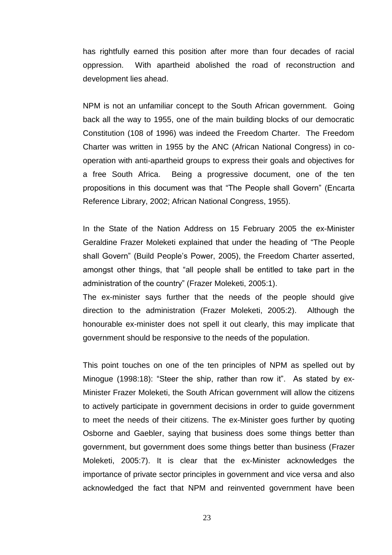has rightfully earned this position after more than four decades of racial oppression. With apartheid abolished the road of reconstruction and development lies ahead.

NPM is not an unfamiliar concept to the South African government. Going back all the way to 1955, one of the main building blocks of our democratic Constitution (108 of 1996) was indeed the Freedom Charter. The Freedom Charter was written in 1955 by the ANC (African National Congress) in cooperation with anti-apartheid groups to express their goals and objectives for a free South Africa. Being a progressive document, one of the ten propositions in this document was that "The People shall Govern" (Encarta Reference Library, 2002; African National Congress, 1955).

In the State of the Nation Address on 15 February 2005 the ex-Minister Geraldine Frazer Moleketi explained that under the heading of "The People shall Govern" (Build People"s Power, 2005), the Freedom Charter asserted, amongst other things, that "all people shall be entitled to take part in the administration of the country" (Frazer Moleketi, 2005:1).

The ex-minister says further that the needs of the people should give direction to the administration (Frazer Moleketi, 2005:2). Although the honourable ex-minister does not spell it out clearly, this may implicate that government should be responsive to the needs of the population.

This point touches on one of the ten principles of NPM as spelled out by Minogue (1998:18): "Steer the ship, rather than row it". As stated by ex-Minister Frazer Moleketi, the South African government will allow the citizens to actively participate in government decisions in order to guide government to meet the needs of their citizens. The ex-Minister goes further by quoting Osborne and Gaebler, saying that business does some things better than government, but government does some things better than business (Frazer Moleketi, 2005:7). It is clear that the ex-Minister acknowledges the importance of private sector principles in government and vice versa and also acknowledged the fact that NPM and reinvented government have been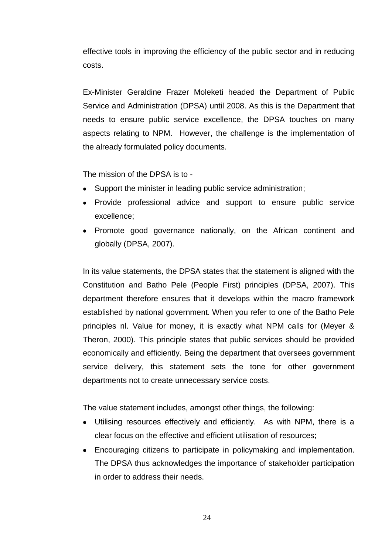effective tools in improving the efficiency of the public sector and in reducing costs.

Ex-Minister Geraldine Frazer Moleketi headed the Department of Public Service and Administration (DPSA) until 2008. As this is the Department that needs to ensure public service excellence, the DPSA touches on many aspects relating to NPM. However, the challenge is the implementation of the already formulated policy documents.

The mission of the DPSA is to -

- Support the minister in leading public service administration;
- Provide professional advice and support to ensure public service excellence;
- Promote good governance nationally, on the African continent and globally (DPSA, 2007).

In its value statements, the DPSA states that the statement is aligned with the Constitution and Batho Pele (People First) principles (DPSA, 2007). This department therefore ensures that it develops within the macro framework established by national government. When you refer to one of the Batho Pele principles nl. Value for money, it is exactly what NPM calls for (Meyer & Theron, 2000). This principle states that public services should be provided economically and efficiently. Being the department that oversees government service delivery, this statement sets the tone for other government departments not to create unnecessary service costs.

The value statement includes, amongst other things, the following:

- Utilising resources effectively and efficiently. As with NPM, there is a clear focus on the effective and efficient utilisation of resources;
- Encouraging citizens to participate in policymaking and implementation. The DPSA thus acknowledges the importance of stakeholder participation in order to address their needs.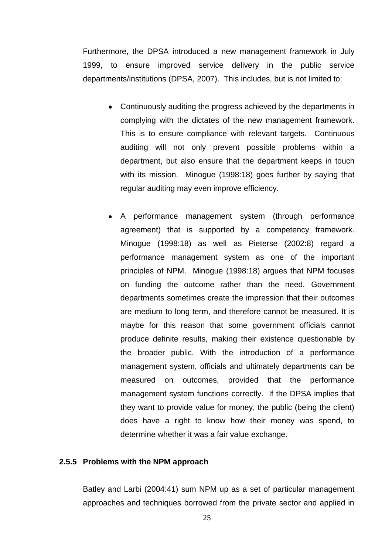Furthermore, the DPSA introduced a new management framework in July 1999, to ensure improved service delivery in the public service departments/institutions (DPSA, 2007). This includes, but is not limited to:

- Continuously auditing the progress achieved by the departments in complying with the dictates of the new management framework. This is to ensure compliance with relevant targets. Continuous auditing will not only prevent possible problems within a department, but also ensure that the department keeps in touch with its mission. Minogue (1998:18) goes further by saying that regular auditing may even improve efficiency.
- A performance management system (through performance agreement) that is supported by a competency framework. Minogue (1998:18) as well as Pieterse (2002:8) regard a performance management system as one of the important principles of NPM. Minogue (1998:18) argues that NPM focuses on funding the outcome rather than the need. Government departments sometimes create the impression that their outcomes are medium to long term, and therefore cannot be measured. It is maybe for this reason that some government officials cannot produce definite results, making their existence questionable by the broader public. With the introduction of a performance management system, officials and ultimately departments can be measured on outcomes, provided that the performance management system functions correctly. If the DPSA implies that they want to provide value for money, the public (being the client) does have a right to know how their money was spend, to determine whether it was a fair value exchange.

#### **2.5.5 Problems with the NPM approach**

Batley and Larbi (2004:41) sum NPM up as a set of particular management approaches and techniques borrowed from the private sector and applied in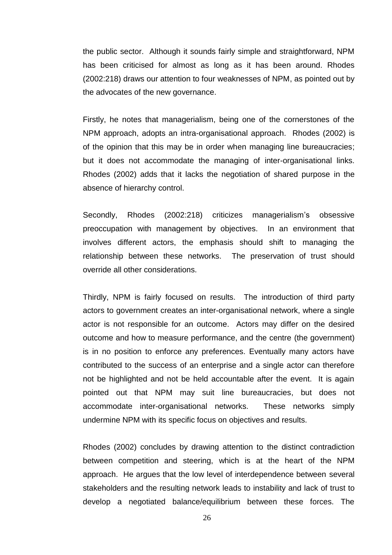the public sector. Although it sounds fairly simple and straightforward, NPM has been criticised for almost as long as it has been around. Rhodes (2002:218) draws our attention to four weaknesses of NPM, as pointed out by the advocates of the new governance.

Firstly, he notes that managerialism, being one of the cornerstones of the NPM approach, adopts an intra-organisational approach. Rhodes (2002) is of the opinion that this may be in order when managing line bureaucracies; but it does not accommodate the managing of inter-organisational links. Rhodes (2002) adds that it lacks the negotiation of shared purpose in the absence of hierarchy control.

Secondly, Rhodes (2002:218) criticizes managerialism's obsessive preoccupation with management by objectives. In an environment that involves different actors, the emphasis should shift to managing the relationship between these networks. The preservation of trust should override all other considerations.

Thirdly, NPM is fairly focused on results. The introduction of third party actors to government creates an inter-organisational network, where a single actor is not responsible for an outcome. Actors may differ on the desired outcome and how to measure performance, and the centre (the government) is in no position to enforce any preferences. Eventually many actors have contributed to the success of an enterprise and a single actor can therefore not be highlighted and not be held accountable after the event. It is again pointed out that NPM may suit line bureaucracies, but does not accommodate inter-organisational networks. These networks simply undermine NPM with its specific focus on objectives and results.

Rhodes (2002) concludes by drawing attention to the distinct contradiction between competition and steering, which is at the heart of the NPM approach. He argues that the low level of interdependence between several stakeholders and the resulting network leads to instability and lack of trust to develop a negotiated balance/equilibrium between these forces. The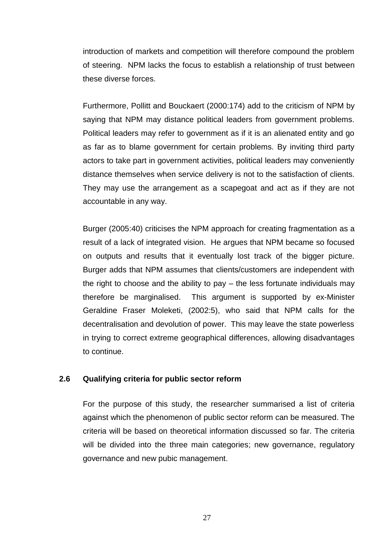introduction of markets and competition will therefore compound the problem of steering. NPM lacks the focus to establish a relationship of trust between these diverse forces.

Furthermore, Pollitt and Bouckaert (2000:174) add to the criticism of NPM by saying that NPM may distance political leaders from government problems. Political leaders may refer to government as if it is an alienated entity and go as far as to blame government for certain problems. By inviting third party actors to take part in government activities, political leaders may conveniently distance themselves when service delivery is not to the satisfaction of clients. They may use the arrangement as a scapegoat and act as if they are not accountable in any way.

Burger (2005:40) criticises the NPM approach for creating fragmentation as a result of a lack of integrated vision. He argues that NPM became so focused on outputs and results that it eventually lost track of the bigger picture. Burger adds that NPM assumes that clients/customers are independent with the right to choose and the ability to pay – the less fortunate individuals may therefore be marginalised. This argument is supported by ex-Minister Geraldine Fraser Moleketi, (2002:5), who said that NPM calls for the decentralisation and devolution of power. This may leave the state powerless in trying to correct extreme geographical differences, allowing disadvantages to continue.

## **2.6 Qualifying criteria for public sector reform**

For the purpose of this study, the researcher summarised a list of criteria against which the phenomenon of public sector reform can be measured. The criteria will be based on theoretical information discussed so far. The criteria will be divided into the three main categories; new governance, regulatory governance and new pubic management.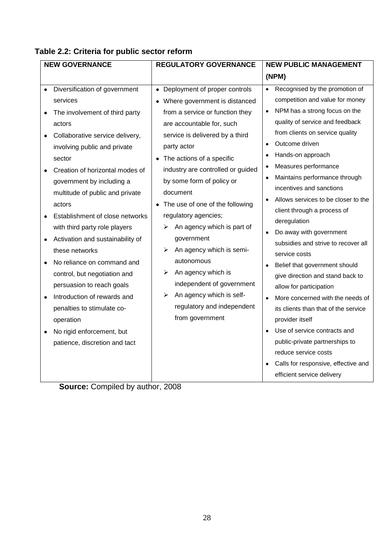| <b>NEW GOVERNANCE</b> |                                  | <b>REGULATORY GOVERNANCE</b> |                                   | <b>NEW PUBLIC MANAGEMENT</b> |                                      |
|-----------------------|----------------------------------|------------------------------|-----------------------------------|------------------------------|--------------------------------------|
|                       |                                  |                              |                                   |                              | (NPM)                                |
|                       | Diversification of government    |                              | • Deployment of proper controls   | $\bullet$                    | Recognised by the promotion of       |
|                       | services                         |                              | Where government is distanced     |                              | competition and value for money      |
|                       | The involvement of third party   |                              | from a service or function they   | $\bullet$                    | NPM has a strong focus on the        |
|                       | actors                           |                              | are accountable for, such         |                              | quality of service and feedback      |
|                       | Collaborative service delivery,  |                              | service is delivered by a third   |                              | from clients on service quality      |
|                       | involving public and private     |                              | party actor                       |                              | Outcome driven                       |
|                       | sector                           |                              | • The actions of a specific       | $\bullet$                    | Hands-on approach                    |
|                       | Creation of horizontal modes of  |                              | industry are controlled or guided |                              | Measures performance                 |
|                       | government by including a        |                              | by some form of policy or         |                              | Maintains performance through        |
|                       | multitude of public and private  |                              | document                          |                              | incentives and sanctions             |
|                       | actors                           |                              | The use of one of the following   |                              | Allows services to be closer to the  |
|                       | Establishment of close networks  |                              | regulatory agencies;              |                              | client through a process of          |
|                       | with third party role players    | ➤                            | An agency which is part of        |                              | deregulation                         |
|                       | Activation and sustainability of |                              | government                        |                              | Do away with government              |
|                       | these networks                   | ⋗                            | An agency which is semi-          |                              | subsidies and strive to recover all  |
|                       | No reliance on command and       |                              | autonomous                        |                              | service costs                        |
|                       | control, but negotiation and     | ➤                            | An agency which is                | $\bullet$                    | Belief that government should        |
|                       | persuasion to reach goals        |                              | independent of government         |                              | give direction and stand back to     |
|                       | Introduction of rewards and      | ➤                            | An agency which is self-          |                              | allow for participation              |
|                       |                                  |                              | regulatory and independent        | $\bullet$                    | More concerned with the needs of     |
|                       | penalties to stimulate co-       |                              | from government                   |                              | its clients than that of the service |
|                       | operation                        |                              |                                   |                              | provider itself                      |
|                       | No rigid enforcement, but        |                              |                                   | $\bullet$                    | Use of service contracts and         |
|                       | patience, discretion and tact    |                              |                                   |                              | public-private partnerships to       |
|                       |                                  |                              |                                   |                              | reduce service costs                 |
|                       |                                  |                              |                                   |                              | Calls for responsive, effective and  |
|                       |                                  |                              |                                   |                              | efficient service delivery           |

# **Table 2.2: Criteria for public sector reform**

**Source:** Compiled by author, 2008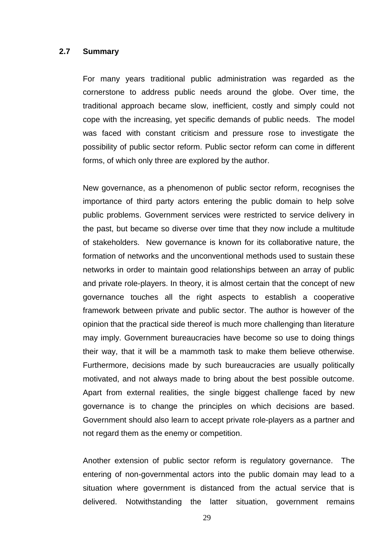#### **2.7 Summary**

For many years traditional public administration was regarded as the cornerstone to address public needs around the globe. Over time, the traditional approach became slow, inefficient, costly and simply could not cope with the increasing, yet specific demands of public needs. The model was faced with constant criticism and pressure rose to investigate the possibility of public sector reform. Public sector reform can come in different forms, of which only three are explored by the author.

New governance, as a phenomenon of public sector reform, recognises the importance of third party actors entering the public domain to help solve public problems. Government services were restricted to service delivery in the past, but became so diverse over time that they now include a multitude of stakeholders. New governance is known for its collaborative nature, the formation of networks and the unconventional methods used to sustain these networks in order to maintain good relationships between an array of public and private role-players. In theory, it is almost certain that the concept of new governance touches all the right aspects to establish a cooperative framework between private and public sector. The author is however of the opinion that the practical side thereof is much more challenging than literature may imply. Government bureaucracies have become so use to doing things their way, that it will be a mammoth task to make them believe otherwise. Furthermore, decisions made by such bureaucracies are usually politically motivated, and not always made to bring about the best possible outcome. Apart from external realities, the single biggest challenge faced by new governance is to change the principles on which decisions are based. Government should also learn to accept private role-players as a partner and not regard them as the enemy or competition.

Another extension of public sector reform is regulatory governance. The entering of non-governmental actors into the public domain may lead to a situation where government is distanced from the actual service that is delivered. Notwithstanding the latter situation, government remains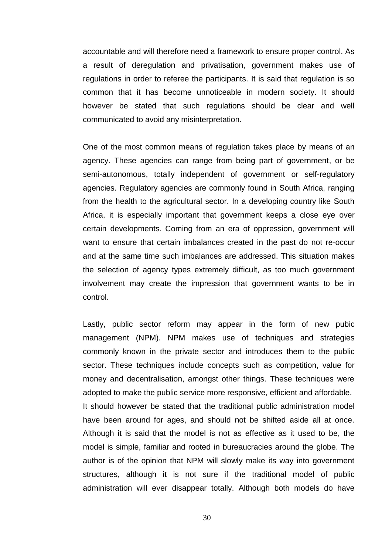accountable and will therefore need a framework to ensure proper control. As a result of deregulation and privatisation, government makes use of regulations in order to referee the participants. It is said that regulation is so common that it has become unnoticeable in modern society. It should however be stated that such regulations should be clear and well communicated to avoid any misinterpretation.

One of the most common means of regulation takes place by means of an agency. These agencies can range from being part of government, or be semi-autonomous, totally independent of government or self-regulatory agencies. Regulatory agencies are commonly found in South Africa, ranging from the health to the agricultural sector. In a developing country like South Africa, it is especially important that government keeps a close eye over certain developments. Coming from an era of oppression, government will want to ensure that certain imbalances created in the past do not re-occur and at the same time such imbalances are addressed. This situation makes the selection of agency types extremely difficult, as too much government involvement may create the impression that government wants to be in control.

Lastly, public sector reform may appear in the form of new pubic management (NPM). NPM makes use of techniques and strategies commonly known in the private sector and introduces them to the public sector. These techniques include concepts such as competition, value for money and decentralisation, amongst other things. These techniques were adopted to make the public service more responsive, efficient and affordable. It should however be stated that the traditional public administration model have been around for ages, and should not be shifted aside all at once. Although it is said that the model is not as effective as it used to be, the model is simple, familiar and rooted in bureaucracies around the globe. The author is of the opinion that NPM will slowly make its way into government structures, although it is not sure if the traditional model of public administration will ever disappear totally. Although both models do have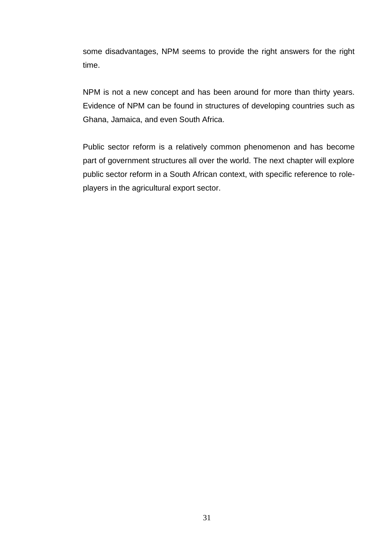some disadvantages, NPM seems to provide the right answers for the right time.

NPM is not a new concept and has been around for more than thirty years. Evidence of NPM can be found in structures of developing countries such as Ghana, Jamaica, and even South Africa.

Public sector reform is a relatively common phenomenon and has become part of government structures all over the world. The next chapter will explore public sector reform in a South African context, with specific reference to roleplayers in the agricultural export sector.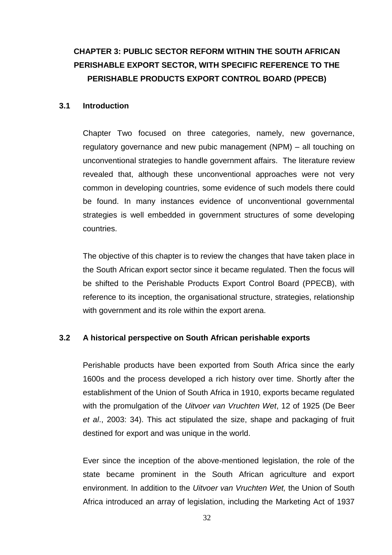# **CHAPTER 3: PUBLIC SECTOR REFORM WITHIN THE SOUTH AFRICAN PERISHABLE EXPORT SECTOR, WITH SPECIFIC REFERENCE TO THE PERISHABLE PRODUCTS EXPORT CONTROL BOARD (PPECB)**

### **3.1 Introduction**

Chapter Two focused on three categories, namely, new governance, regulatory governance and new pubic management (NPM) – all touching on unconventional strategies to handle government affairs. The literature review revealed that, although these unconventional approaches were not very common in developing countries, some evidence of such models there could be found. In many instances evidence of unconventional governmental strategies is well embedded in government structures of some developing countries.

The objective of this chapter is to review the changes that have taken place in the South African export sector since it became regulated. Then the focus will be shifted to the Perishable Products Export Control Board (PPECB), with reference to its inception, the organisational structure, strategies, relationship with government and its role within the export arena.

# **3.2 A historical perspective on South African perishable exports**

Perishable products have been exported from South Africa since the early 1600s and the process developed a rich history over time. Shortly after the establishment of the Union of South Africa in 1910, exports became regulated with the promulgation of the *Uitvoer van Vruchten Wet*, 12 of 1925 (De Beer *et al*., 2003: 34). This act stipulated the size, shape and packaging of fruit destined for export and was unique in the world.

Ever since the inception of the above-mentioned legislation, the role of the state became prominent in the South African agriculture and export environment. In addition to the *Uitvoer van Vruchten Wet,* the Union of South Africa introduced an array of legislation, including the Marketing Act of 1937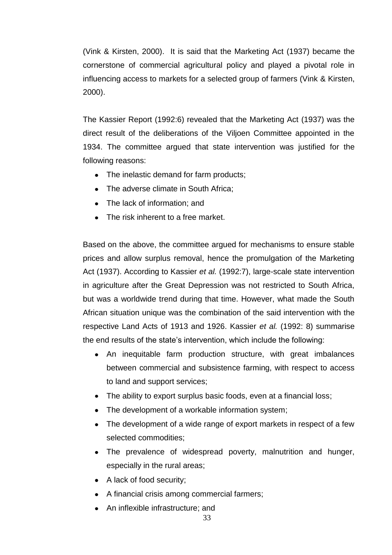(Vink & Kirsten, 2000). It is said that the Marketing Act (1937) became the cornerstone of commercial agricultural policy and played a pivotal role in influencing access to markets for a selected group of farmers (Vink & Kirsten, 2000).

The Kassier Report (1992:6) revealed that the Marketing Act (1937) was the direct result of the deliberations of the Viljoen Committee appointed in the 1934. The committee argued that state intervention was justified for the following reasons:

- The inelastic demand for farm products;
- The adverse climate in South Africa;
- The lack of information; and
- The risk inherent to a free market.

Based on the above, the committee argued for mechanisms to ensure stable prices and allow surplus removal, hence the promulgation of the Marketing Act (1937). According to Kassier *et al.* (1992:7), large-scale state intervention in agriculture after the Great Depression was not restricted to South Africa, but was a worldwide trend during that time. However, what made the South African situation unique was the combination of the said intervention with the respective Land Acts of 1913 and 1926. Kassier *et al.* (1992: 8) summarise the end results of the state"s intervention, which include the following:

- An inequitable farm production structure, with great imbalances between commercial and subsistence farming, with respect to access to land and support services;
- The ability to export surplus basic foods, even at a financial loss;
- The development of a workable information system;
- The development of a wide range of export markets in respect of a few selected commodities;
- The prevalence of widespread poverty, malnutrition and hunger, especially in the rural areas;
- A lack of food security:
- A financial crisis among commercial farmers;
- An inflexible infrastructure; and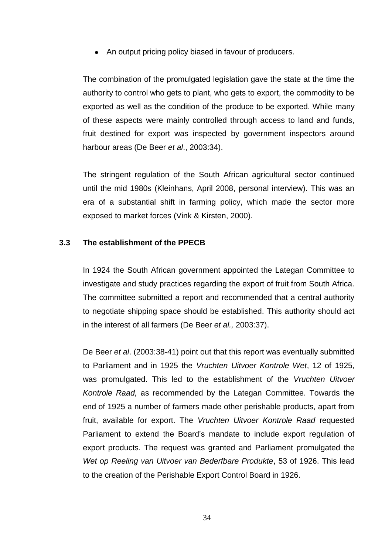• An output pricing policy biased in favour of producers.

The combination of the promulgated legislation gave the state at the time the authority to control who gets to plant, who gets to export, the commodity to be exported as well as the condition of the produce to be exported. While many of these aspects were mainly controlled through access to land and funds, fruit destined for export was inspected by government inspectors around harbour areas (De Beer *et al*., 2003:34).

The stringent regulation of the South African agricultural sector continued until the mid 1980s (Kleinhans, April 2008, personal interview). This was an era of a substantial shift in farming policy, which made the sector more exposed to market forces (Vink & Kirsten, 2000).

# **3.3 The establishment of the PPECB**

In 1924 the South African government appointed the Lategan Committee to investigate and study practices regarding the export of fruit from South Africa. The committee submitted a report and recommended that a central authority to negotiate shipping space should be established. This authority should act in the interest of all farmers (De Beer *et al.,* 2003:37).

De Beer *et al*. (2003:38-41) point out that this report was eventually submitted to Parliament and in 1925 the *Vruchten Uitvoer Kontrole Wet*, 12 of 1925, was promulgated. This led to the establishment of the *Vruchten Uitvoer Kontrole Raad,* as recommended by the Lategan Committee. Towards the end of 1925 a number of farmers made other perishable products, apart from fruit, available for export. The *Vruchten Uitvoer Kontrole Raad* requested Parliament to extend the Board"s mandate to include export regulation of export products. The request was granted and Parliament promulgated the *Wet op Reeling van Uitvoer van Bederfbare Produkte*, 53 of 1926. This lead to the creation of the Perishable Export Control Board in 1926.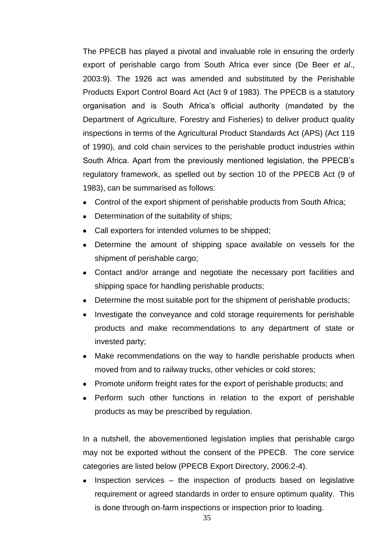The PPECB has played a pivotal and invaluable role in ensuring the orderly export of perishable cargo from South Africa ever since (De Beer *et al*., 2003:9). The 1926 act was amended and substituted by the Perishable Products Export Control Board Act (Act 9 of 1983). The PPECB is a statutory organisation and is South Africa"s official authority (mandated by the Department of Agriculture, Forestry and Fisheries) to deliver product quality inspections in terms of the Agricultural Product Standards Act (APS) (Act 119 of 1990), and cold chain services to the perishable product industries within South Africa. Apart from the previously mentioned legislation, the PPECB"s regulatory framework, as spelled out by section 10 of the PPECB Act (9 of 1983), can be summarised as follows:

- Control of the export shipment of perishable products from South Africa;
- Determination of the suitability of ships;
- Call exporters for intended volumes to be shipped;
- Determine the amount of shipping space available on vessels for the shipment of perishable cargo;
- Contact and/or arrange and negotiate the necessary port facilities and shipping space for handling perishable products;
- Determine the most suitable port for the shipment of perishable products;  $\bullet$
- Investigate the conveyance and cold storage requirements for perishable products and make recommendations to any department of state or invested party;
- Make recommendations on the way to handle perishable products when moved from and to railway trucks, other vehicles or cold stores;
- Promote uniform freight rates for the export of perishable products; and
- Perform such other functions in relation to the export of perishable products as may be prescribed by regulation.

In a nutshell, the abovementioned legislation implies that perishable cargo may not be exported without the consent of the PPECB. The core service categories are listed below (PPECB Export Directory, 2006:2-4).

Inspection services – the inspection of products based on legislative  $\bullet$ requirement or agreed standards in order to ensure optimum quality. This is done through on-farm inspections or inspection prior to loading.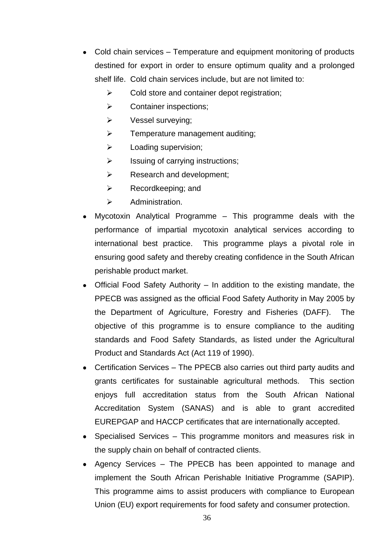- Cold chain services Temperature and equipment monitoring of products destined for export in order to ensure optimum quality and a prolonged shelf life. Cold chain services include, but are not limited to:
	- $\triangleright$  Cold store and container depot registration;
	- > Container inspections;
	- $\triangleright$  Vessel surveying;
	- $\triangleright$  Temperature management auditing;
	- $\triangleright$  Loading supervision;
	- $\triangleright$  Issuing of carrying instructions;
	- $\triangleright$  Research and development;
	- $\triangleright$  Recordkeeping; and
	- $\triangleright$  Administration.
- Mycotoxin Analytical Programme This programme deals with the performance of impartial mycotoxin analytical services according to international best practice. This programme plays a pivotal role in ensuring good safety and thereby creating confidence in the South African perishable product market.
- Official Food Safety Authority In addition to the existing mandate, the PPECB was assigned as the official Food Safety Authority in May 2005 by the Department of Agriculture, Forestry and Fisheries (DAFF). The objective of this programme is to ensure compliance to the auditing standards and Food Safety Standards, as listed under the Agricultural Product and Standards Act (Act 119 of 1990).
- Certification Services The PPECB also carries out third party audits and grants certificates for sustainable agricultural methods. This section enjoys full accreditation status from the South African National Accreditation System (SANAS) and is able to grant accredited EUREPGAP and HACCP certificates that are internationally accepted.
- Specialised Services This programme monitors and measures risk in the supply chain on behalf of contracted clients.
- Agency Services The PPECB has been appointed to manage and implement the South African Perishable Initiative Programme (SAPIP). This programme aims to assist producers with compliance to European Union (EU) export requirements for food safety and consumer protection.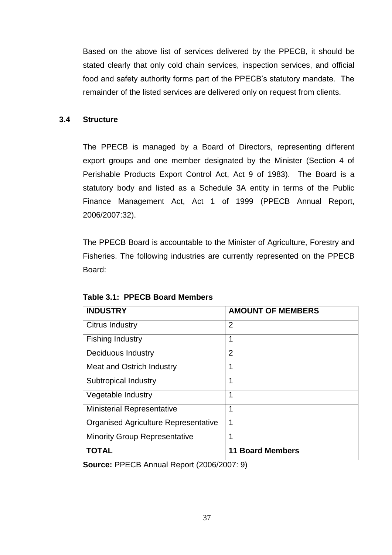Based on the above list of services delivered by the PPECB, it should be stated clearly that only cold chain services, inspection services, and official food and safety authority forms part of the PPECB"s statutory mandate. The remainder of the listed services are delivered only on request from clients.

# **3.4 Structure**

The PPECB is managed by a Board of Directors, representing different export groups and one member designated by the Minister (Section 4 of Perishable Products Export Control Act, Act 9 of 1983). The Board is a statutory body and listed as a Schedule 3A entity in terms of the Public Finance Management Act, Act 1 of 1999 (PPECB Annual Report, 2006/2007:32).

The PPECB Board is accountable to the Minister of Agriculture, Forestry and Fisheries. The following industries are currently represented on the PPECB Board:

| <b>INDUSTRY</b>                             | <b>AMOUNT OF MEMBERS</b> |
|---------------------------------------------|--------------------------|
| <b>Citrus Industry</b>                      | 2                        |
| <b>Fishing Industry</b>                     | 1                        |
| Deciduous Industry                          | $\overline{2}$           |
| Meat and Ostrich Industry                   | 1                        |
| Subtropical Industry                        | 1                        |
| Vegetable Industry                          | 1                        |
| <b>Ministerial Representative</b>           | 1                        |
| <b>Organised Agriculture Representative</b> | 1                        |
| <b>Minority Group Representative</b>        | 1                        |
| <b>TOTAL</b>                                | <b>11 Board Members</b>  |

**Table 3.1: PPECB Board Members**

**Source:** PPECB Annual Report (2006/2007: 9)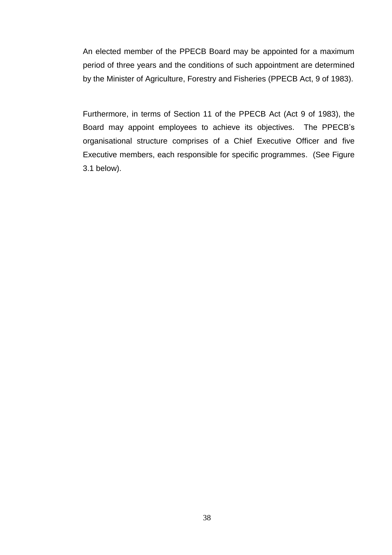An elected member of the PPECB Board may be appointed for a maximum period of three years and the conditions of such appointment are determined by the Minister of Agriculture, Forestry and Fisheries (PPECB Act, 9 of 1983).

Furthermore, in terms of Section 11 of the PPECB Act (Act 9 of 1983), the Board may appoint employees to achieve its objectives. The PPECB"s organisational structure comprises of a Chief Executive Officer and five Executive members, each responsible for specific programmes. (See Figure 3.1 below).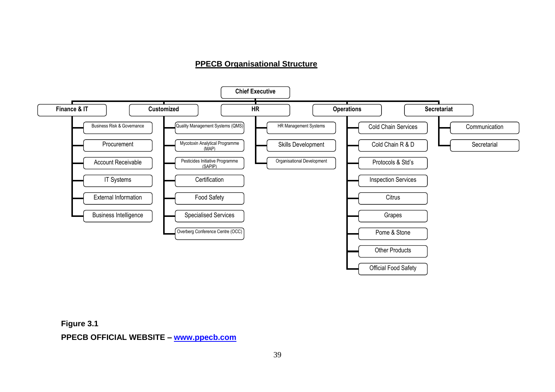### **PPECB Organisational Structure**



**Figure 3.1 PPECB OFFICIAL WEBSITE – [www.ppecb.com](http://www.ppecb.com/)**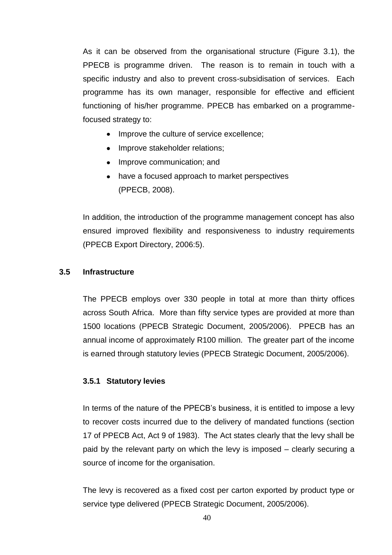As it can be observed from the organisational structure (Figure 3.1), the PPECB is programme driven. The reason is to remain in touch with a specific industry and also to prevent cross-subsidisation of services. Each programme has its own manager, responsible for effective and efficient functioning of his/her programme. PPECB has embarked on a programmefocused strategy to:

- Improve the culture of service excellence;
- Improve stakeholder relations;
- Improve communication; and
- have a focused approach to market perspectives (PPECB, 2008).

In addition, the introduction of the programme management concept has also ensured improved flexibility and responsiveness to industry requirements (PPECB Export Directory, 2006:5).

# **3.5 Infrastructure**

The PPECB employs over 330 people in total at more than thirty offices across South Africa. More than fifty service types are provided at more than 1500 locations (PPECB Strategic Document, 2005/2006). PPECB has an annual income of approximately R100 million. The greater part of the income is earned through statutory levies (PPECB Strategic Document, 2005/2006).

# **3.5.1 Statutory levies**

In terms of the nature of the PPECB's business, it is entitled to impose a levy to recover costs incurred due to the delivery of mandated functions (section 17 of PPECB Act, Act 9 of 1983). The Act states clearly that the levy shall be paid by the relevant party on which the levy is imposed – clearly securing a source of income for the organisation.

The levy is recovered as a fixed cost per carton exported by product type or service type delivered (PPECB Strategic Document, 2005/2006).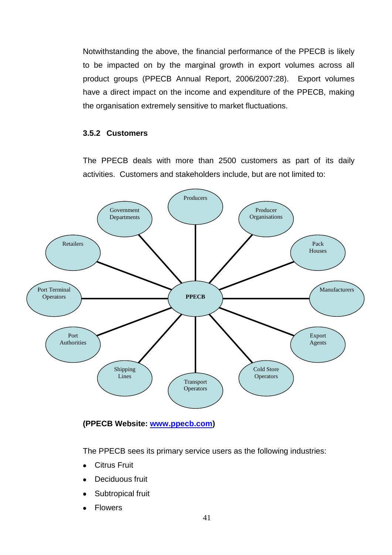Notwithstanding the above, the financial performance of the PPECB is likely to be impacted on by the marginal growth in export volumes across all product groups (PPECB Annual Report, 2006/2007:28). Export volumes have a direct impact on the income and expenditure of the PPECB, making the organisation extremely sensitive to market fluctuations.

# **3.5.2 Customers**

The PPECB deals with more than 2500 customers as part of its daily activities. Customers and stakeholders include, but are not limited to:



# **(PPECB Website: [www.ppecb.com\)](http://www.ppecb.com/)**

The PPECB sees its primary service users as the following industries:

- **•** Citrus Fruit
- Deciduous fruit
- Subtropical fruit
- Flowers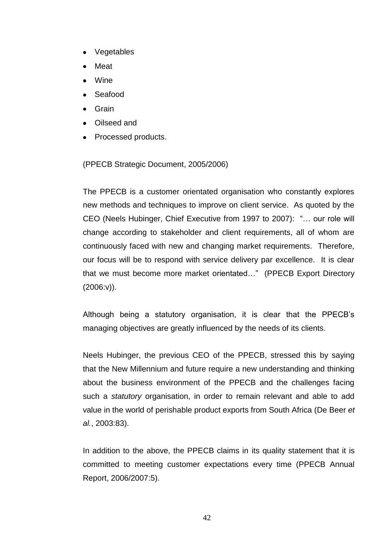- Vegetables
- Meat
- Wine
- Seafood
- Grain
- Oilseed and
- Processed products.

(PPECB Strategic Document, 2005/2006)

The PPECB is a customer orientated organisation who constantly explores new methods and techniques to improve on client service. As quoted by the CEO (Neels Hubinger, Chief Executive from 1997 to 2007): "… our role will change according to stakeholder and client requirements, all of whom are continuously faced with new and changing market requirements. Therefore, our focus will be to respond with service delivery par excellence. It is clear that we must become more market orientated…" (PPECB Export Directory  $(2006:v)$ ).

Although being a statutory organisation, it is clear that the PPECB"s managing objectives are greatly influenced by the needs of its clients.

Neels Hubinger, the previous CEO of the PPECB, stressed this by saying that the New Millennium and future require a new understanding and thinking about the business environment of the PPECB and the challenges facing such a *statutory* organisation, in order to remain relevant and able to add value in the world of perishable product exports from South Africa (De Beer *et al.*, 2003:83).

In addition to the above, the PPECB claims in its quality statement that it is committed to meeting customer expectations every time (PPECB Annual Report, 2006/2007:5).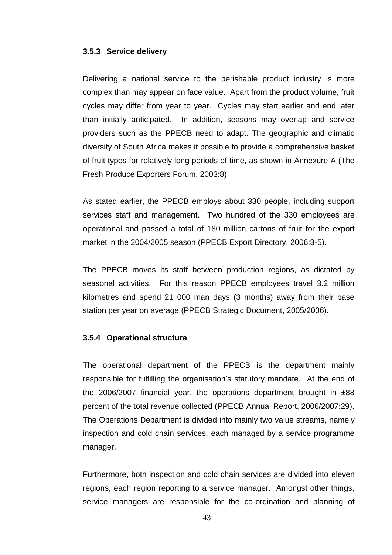#### **3.5.3 Service delivery**

Delivering a national service to the perishable product industry is more complex than may appear on face value. Apart from the product volume, fruit cycles may differ from year to year. Cycles may start earlier and end later than initially anticipated. In addition, seasons may overlap and service providers such as the PPECB need to adapt. The geographic and climatic diversity of South Africa makes it possible to provide a comprehensive basket of fruit types for relatively long periods of time, as shown in Annexure A (The Fresh Produce Exporters Forum, 2003:8).

As stated earlier, the PPECB employs about 330 people, including support services staff and management. Two hundred of the 330 employees are operational and passed a total of 180 million cartons of fruit for the export market in the 2004/2005 season (PPECB Export Directory, 2006:3-5).

The PPECB moves its staff between production regions, as dictated by seasonal activities. For this reason PPECB employees travel 3.2 million kilometres and spend 21 000 man days (3 months) away from their base station per year on average (PPECB Strategic Document, 2005/2006).

#### **3.5.4 Operational structure**

The operational department of the PPECB is the department mainly responsible for fulfilling the organisation"s statutory mandate. At the end of the 2006/2007 financial year, the operations department brought in  $±88$ percent of the total revenue collected (PPECB Annual Report, 2006/2007:29). The Operations Department is divided into mainly two value streams, namely inspection and cold chain services, each managed by a service programme manager.

Furthermore, both inspection and cold chain services are divided into eleven regions, each region reporting to a service manager. Amongst other things, service managers are responsible for the co-ordination and planning of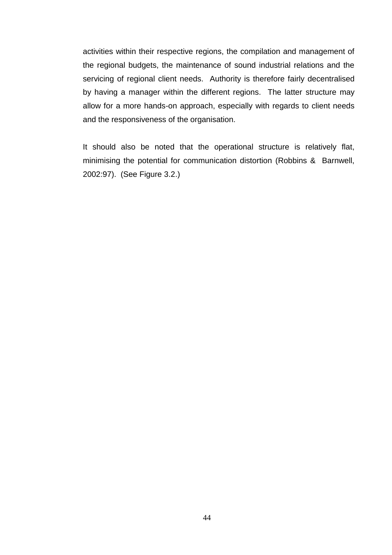activities within their respective regions, the compilation and management of the regional budgets, the maintenance of sound industrial relations and the servicing of regional client needs. Authority is therefore fairly decentralised by having a manager within the different regions. The latter structure may allow for a more hands-on approach, especially with regards to client needs and the responsiveness of the organisation.

It should also be noted that the operational structure is relatively flat, minimising the potential for communication distortion (Robbins & Barnwell, 2002:97). (See Figure 3.2.)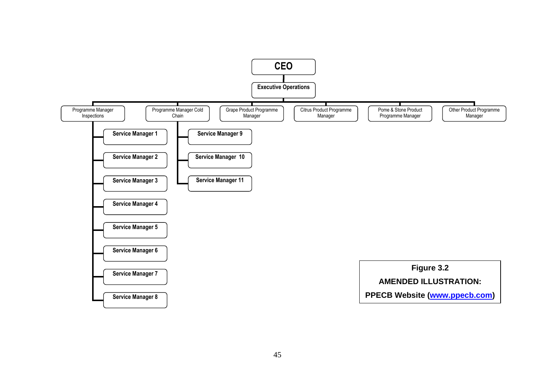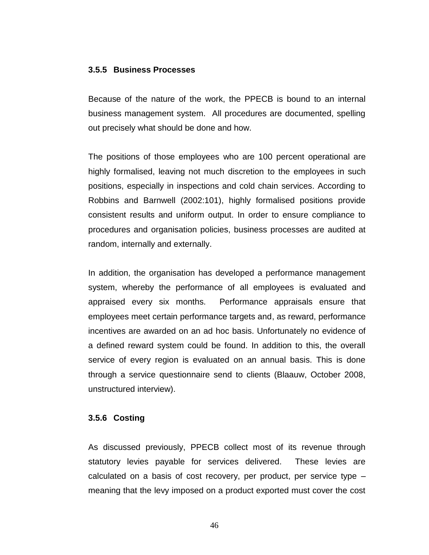#### **3.5.5 Business Processes**

Because of the nature of the work, the PPECB is bound to an internal business management system. All procedures are documented, spelling out precisely what should be done and how.

The positions of those employees who are 100 percent operational are highly formalised, leaving not much discretion to the employees in such positions, especially in inspections and cold chain services. According to Robbins and Barnwell (2002:101), highly formalised positions provide consistent results and uniform output. In order to ensure compliance to procedures and organisation policies, business processes are audited at random, internally and externally.

In addition, the organisation has developed a performance management system, whereby the performance of all employees is evaluated and appraised every six months. Performance appraisals ensure that employees meet certain performance targets and, as reward, performance incentives are awarded on an ad hoc basis. Unfortunately no evidence of a defined reward system could be found. In addition to this, the overall service of every region is evaluated on an annual basis. This is done through a service questionnaire send to clients (Blaauw, October 2008, unstructured interview).

# **3.5.6 Costing**

As discussed previously, PPECB collect most of its revenue through statutory levies payable for services delivered. These levies are calculated on a basis of cost recovery, per product, per service type – meaning that the levy imposed on a product exported must cover the cost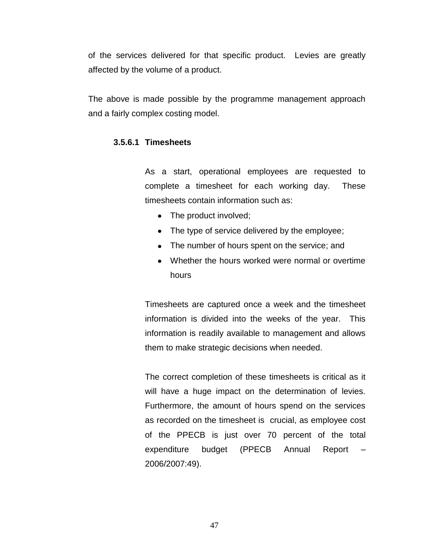of the services delivered for that specific product. Levies are greatly affected by the volume of a product.

The above is made possible by the programme management approach and a fairly complex costing model.

# **3.5.6.1 Timesheets**

As a start, operational employees are requested to complete a timesheet for each working day. These timesheets contain information such as:

- The product involved;
- The type of service delivered by the employee;
- The number of hours spent on the service; and
- Whether the hours worked were normal or overtime hours

Timesheets are captured once a week and the timesheet information is divided into the weeks of the year. This information is readily available to management and allows them to make strategic decisions when needed.

The correct completion of these timesheets is critical as it will have a huge impact on the determination of levies. Furthermore, the amount of hours spend on the services as recorded on the timesheet is crucial, as employee cost of the PPECB is just over 70 percent of the total expenditure budget (PPECB Annual Report – 2006/2007:49).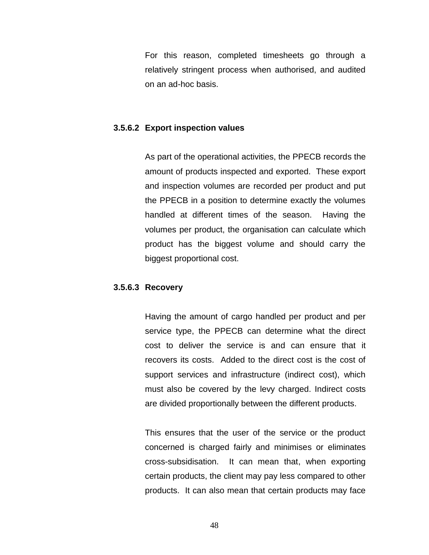For this reason, completed timesheets go through a relatively stringent process when authorised, and audited on an ad-hoc basis.

#### **3.5.6.2 Export inspection values**

As part of the operational activities, the PPECB records the amount of products inspected and exported. These export and inspection volumes are recorded per product and put the PPECB in a position to determine exactly the volumes handled at different times of the season. Having the volumes per product, the organisation can calculate which product has the biggest volume and should carry the biggest proportional cost.

#### **3.5.6.3 Recovery**

Having the amount of cargo handled per product and per service type, the PPECB can determine what the direct cost to deliver the service is and can ensure that it recovers its costs. Added to the direct cost is the cost of support services and infrastructure (indirect cost), which must also be covered by the levy charged. Indirect costs are divided proportionally between the different products.

This ensures that the user of the service or the product concerned is charged fairly and minimises or eliminates cross-subsidisation. It can mean that, when exporting certain products, the client may pay less compared to other products. It can also mean that certain products may face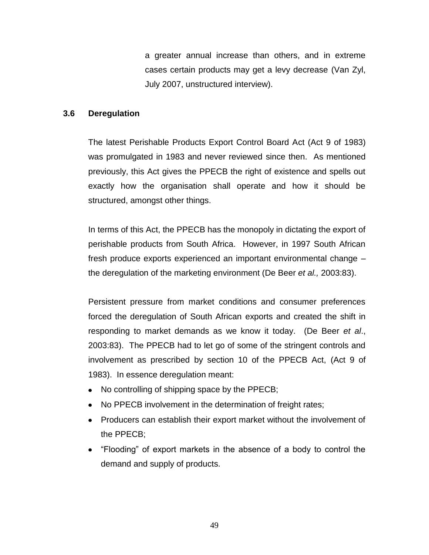a greater annual increase than others, and in extreme cases certain products may get a levy decrease (Van Zyl, July 2007, unstructured interview).

## **3.6 Deregulation**

The latest Perishable Products Export Control Board Act (Act 9 of 1983) was promulgated in 1983 and never reviewed since then. As mentioned previously, this Act gives the PPECB the right of existence and spells out exactly how the organisation shall operate and how it should be structured, amongst other things.

In terms of this Act, the PPECB has the monopoly in dictating the export of perishable products from South Africa. However, in 1997 South African fresh produce exports experienced an important environmental change – the deregulation of the marketing environment (De Beer *et al.,* 2003:83).

Persistent pressure from market conditions and consumer preferences forced the deregulation of South African exports and created the shift in responding to market demands as we know it today. (De Beer *et al*., 2003:83). The PPECB had to let go of some of the stringent controls and involvement as prescribed by section 10 of the PPECB Act, (Act 9 of 1983). In essence deregulation meant:

- No controlling of shipping space by the PPECB;  $\bullet$
- No PPECB involvement in the determination of freight rates;  $\bullet$
- Producers can establish their export market without the involvement of the PPECB;
- "Flooding" of export markets in the absence of a body to control the demand and supply of products.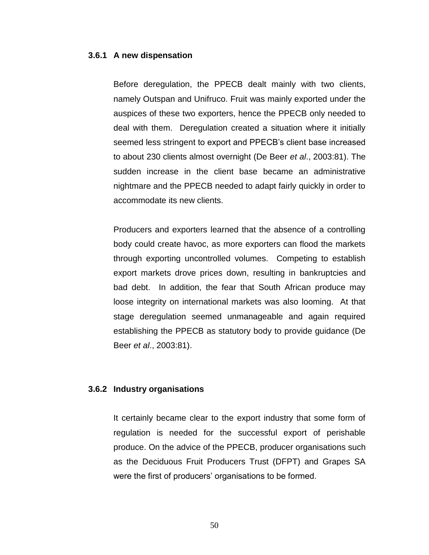#### **3.6.1 A new dispensation**

Before deregulation, the PPECB dealt mainly with two clients, namely Outspan and Unifruco. Fruit was mainly exported under the auspices of these two exporters, hence the PPECB only needed to deal with them. Deregulation created a situation where it initially seemed less stringent to export and PPECB"s client base increased to about 230 clients almost overnight (De Beer *et al*., 2003:81). The sudden increase in the client base became an administrative nightmare and the PPECB needed to adapt fairly quickly in order to accommodate its new clients.

Producers and exporters learned that the absence of a controlling body could create havoc, as more exporters can flood the markets through exporting uncontrolled volumes. Competing to establish export markets drove prices down, resulting in bankruptcies and bad debt. In addition, the fear that South African produce may loose integrity on international markets was also looming. At that stage deregulation seemed unmanageable and again required establishing the PPECB as statutory body to provide guidance (De Beer *et al*., 2003:81).

#### **3.6.2 Industry organisations**

It certainly became clear to the export industry that some form of regulation is needed for the successful export of perishable produce. On the advice of the PPECB, producer organisations such as the Deciduous Fruit Producers Trust (DFPT) and Grapes SA were the first of producers' organisations to be formed.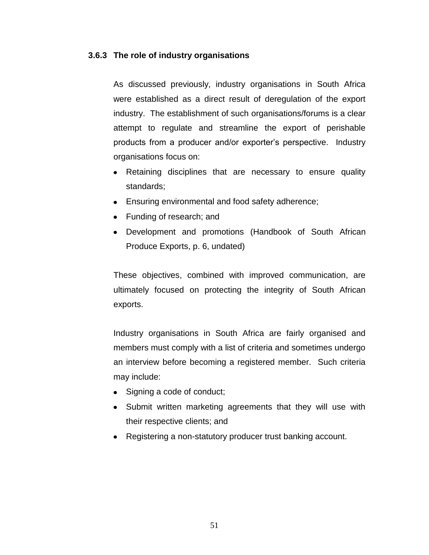#### **3.6.3 The role of industry organisations**

As discussed previously, industry organisations in South Africa were established as a direct result of deregulation of the export industry. The establishment of such organisations/forums is a clear attempt to regulate and streamline the export of perishable products from a producer and/or exporter"s perspective. Industry organisations focus on:

- Retaining disciplines that are necessary to ensure quality standards;
- Ensuring environmental and food safety adherence;
- Funding of research; and
- Development and promotions (Handbook of South African Produce Exports, p. 6, undated)

These objectives, combined with improved communication, are ultimately focused on protecting the integrity of South African exports.

Industry organisations in South Africa are fairly organised and members must comply with a list of criteria and sometimes undergo an interview before becoming a registered member. Such criteria may include:

- Signing a code of conduct;
- Submit written marketing agreements that they will use with their respective clients; and
- Registering a non-statutory producer trust banking account.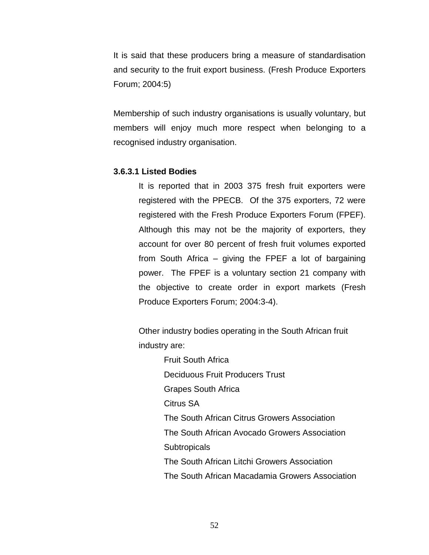It is said that these producers bring a measure of standardisation and security to the fruit export business. (Fresh Produce Exporters Forum; 2004:5)

Membership of such industry organisations is usually voluntary, but members will enjoy much more respect when belonging to a recognised industry organisation.

#### **3.6.3.1 Listed Bodies**

It is reported that in 2003 375 fresh fruit exporters were registered with the PPECB. Of the 375 exporters, 72 were registered with the Fresh Produce Exporters Forum (FPEF). Although this may not be the majority of exporters, they account for over 80 percent of fresh fruit volumes exported from South Africa – giving the FPEF a lot of bargaining power. The FPEF is a voluntary section 21 company with the objective to create order in export markets (Fresh Produce Exporters Forum; 2004:3-4).

Other industry bodies operating in the South African fruit industry are:

> Fruit South Africa Deciduous Fruit Producers Trust Grapes South Africa Citrus SA The South African Citrus Growers Association The South African Avocado Growers Association **Subtropicals** The South African Litchi Growers Association The South African Macadamia Growers Association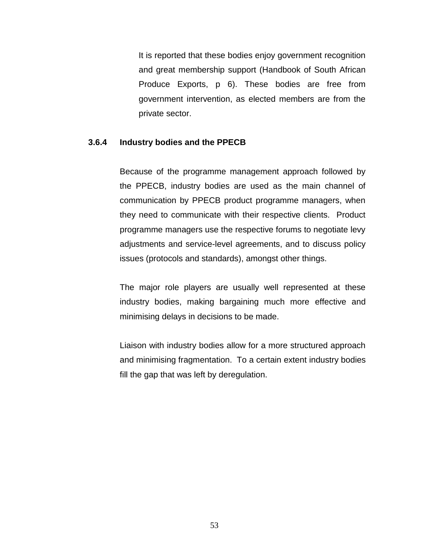It is reported that these bodies enjoy government recognition and great membership support (Handbook of South African Produce Exports, p 6). These bodies are free from government intervention, as elected members are from the private sector.

### **3.6.4 Industry bodies and the PPECB**

Because of the programme management approach followed by the PPECB, industry bodies are used as the main channel of communication by PPECB product programme managers, when they need to communicate with their respective clients. Product programme managers use the respective forums to negotiate levy adjustments and service-level agreements, and to discuss policy issues (protocols and standards), amongst other things.

The major role players are usually well represented at these industry bodies, making bargaining much more effective and minimising delays in decisions to be made.

Liaison with industry bodies allow for a more structured approach and minimising fragmentation. To a certain extent industry bodies fill the gap that was left by deregulation.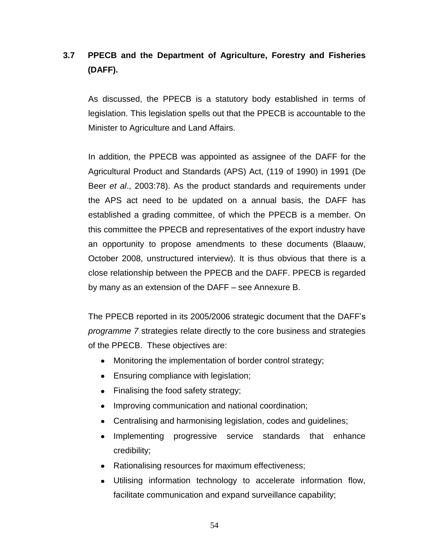# **3.7 PPECB and the Department of Agriculture, Forestry and Fisheries (DAFF).**

As discussed, the PPECB is a statutory body established in terms of legislation. This legislation spells out that the PPECB is accountable to the Minister to Agriculture and Land Affairs.

In addition, the PPECB was appointed as assignee of the DAFF for the Agricultural Product and Standards (APS) Act, (119 of 1990) in 1991 (De Beer *et al*., 2003:78). As the product standards and requirements under the APS act need to be updated on a annual basis, the DAFF has established a grading committee, of which the PPECB is a member. On this committee the PPECB and representatives of the export industry have an opportunity to propose amendments to these documents (Blaauw, October 2008, unstructured interview). It is thus obvious that there is a close relationship between the PPECB and the DAFF. PPECB is regarded by many as an extension of the DAFF – see Annexure B.

The PPECB reported in its 2005/2006 strategic document that the DAFF"s *programme 7* strategies relate directly to the core business and strategies of the PPECB. These objectives are:

- Monitoring the implementation of border control strategy;  $\bullet$
- Ensuring compliance with legislation;  $\bullet$
- Finalising the food safety strategy;  $\bullet$
- Improving communication and national coordination;  $\bullet$
- Centralising and harmonising legislation, codes and guidelines;
- Implementing progressive service standards that enhance credibility;
- Rationalising resources for maximum effectiveness;
- Utilising information technology to accelerate information flow,  $\bullet$ facilitate communication and expand surveillance capability;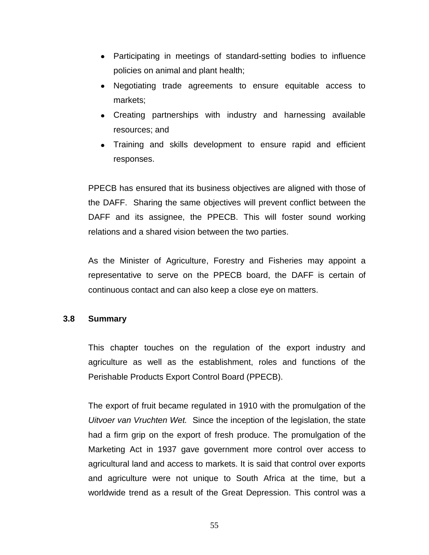- Participating in meetings of standard-setting bodies to influence  $\bullet$ policies on animal and plant health;
- Negotiating trade agreements to ensure equitable access to  $\bullet$ markets;
- Creating partnerships with industry and harnessing available resources; and
- Training and skills development to ensure rapid and efficient responses.

PPECB has ensured that its business objectives are aligned with those of the DAFF. Sharing the same objectives will prevent conflict between the DAFF and its assignee, the PPECB. This will foster sound working relations and a shared vision between the two parties.

As the Minister of Agriculture, Forestry and Fisheries may appoint a representative to serve on the PPECB board, the DAFF is certain of continuous contact and can also keep a close eye on matters.

# **3.8 Summary**

This chapter touches on the regulation of the export industry and agriculture as well as the establishment, roles and functions of the Perishable Products Export Control Board (PPECB).

The export of fruit became regulated in 1910 with the promulgation of the *Uitvoer van Vruchten Wet.* Since the inception of the legislation, the state had a firm grip on the export of fresh produce. The promulgation of the Marketing Act in 1937 gave government more control over access to agricultural land and access to markets. It is said that control over exports and agriculture were not unique to South Africa at the time, but a worldwide trend as a result of the Great Depression. This control was a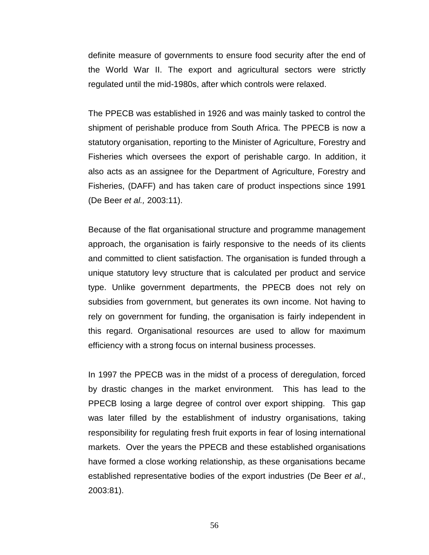definite measure of governments to ensure food security after the end of the World War II. The export and agricultural sectors were strictly regulated until the mid-1980s, after which controls were relaxed.

The PPECB was established in 1926 and was mainly tasked to control the shipment of perishable produce from South Africa. The PPECB is now a statutory organisation, reporting to the Minister of Agriculture, Forestry and Fisheries which oversees the export of perishable cargo. In addition, it also acts as an assignee for the Department of Agriculture, Forestry and Fisheries, (DAFF) and has taken care of product inspections since 1991 (De Beer *et al.,* 2003:11).

Because of the flat organisational structure and programme management approach, the organisation is fairly responsive to the needs of its clients and committed to client satisfaction. The organisation is funded through a unique statutory levy structure that is calculated per product and service type. Unlike government departments, the PPECB does not rely on subsidies from government, but generates its own income. Not having to rely on government for funding, the organisation is fairly independent in this regard. Organisational resources are used to allow for maximum efficiency with a strong focus on internal business processes.

In 1997 the PPECB was in the midst of a process of deregulation, forced by drastic changes in the market environment. This has lead to the PPECB losing a large degree of control over export shipping. This gap was later filled by the establishment of industry organisations, taking responsibility for regulating fresh fruit exports in fear of losing international markets. Over the years the PPECB and these established organisations have formed a close working relationship, as these organisations became established representative bodies of the export industries (De Beer *et al*., 2003:81).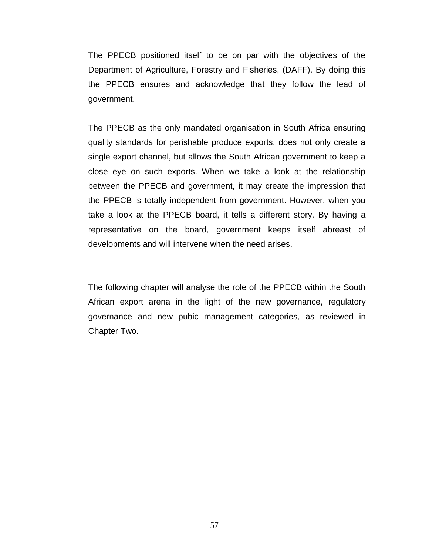The PPECB positioned itself to be on par with the objectives of the Department of Agriculture, Forestry and Fisheries, (DAFF). By doing this the PPECB ensures and acknowledge that they follow the lead of government.

The PPECB as the only mandated organisation in South Africa ensuring quality standards for perishable produce exports, does not only create a single export channel, but allows the South African government to keep a close eye on such exports. When we take a look at the relationship between the PPECB and government, it may create the impression that the PPECB is totally independent from government. However, when you take a look at the PPECB board, it tells a different story. By having a representative on the board, government keeps itself abreast of developments and will intervene when the need arises.

The following chapter will analyse the role of the PPECB within the South African export arena in the light of the new governance, regulatory governance and new pubic management categories, as reviewed in Chapter Two.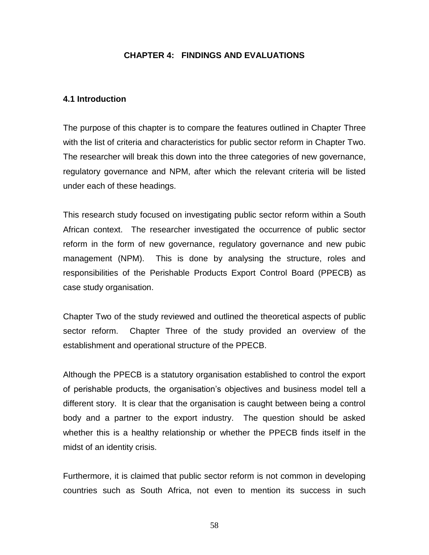# **CHAPTER 4: FINDINGS AND EVALUATIONS**

### **4.1 Introduction**

The purpose of this chapter is to compare the features outlined in Chapter Three with the list of criteria and characteristics for public sector reform in Chapter Two. The researcher will break this down into the three categories of new governance, regulatory governance and NPM, after which the relevant criteria will be listed under each of these headings.

This research study focused on investigating public sector reform within a South African context. The researcher investigated the occurrence of public sector reform in the form of new governance, regulatory governance and new pubic management (NPM). This is done by analysing the structure, roles and responsibilities of the Perishable Products Export Control Board (PPECB) as case study organisation.

Chapter Two of the study reviewed and outlined the theoretical aspects of public sector reform. Chapter Three of the study provided an overview of the establishment and operational structure of the PPECB.

Although the PPECB is a statutory organisation established to control the export of perishable products, the organisation"s objectives and business model tell a different story. It is clear that the organisation is caught between being a control body and a partner to the export industry. The question should be asked whether this is a healthy relationship or whether the PPECB finds itself in the midst of an identity crisis.

Furthermore, it is claimed that public sector reform is not common in developing countries such as South Africa, not even to mention its success in such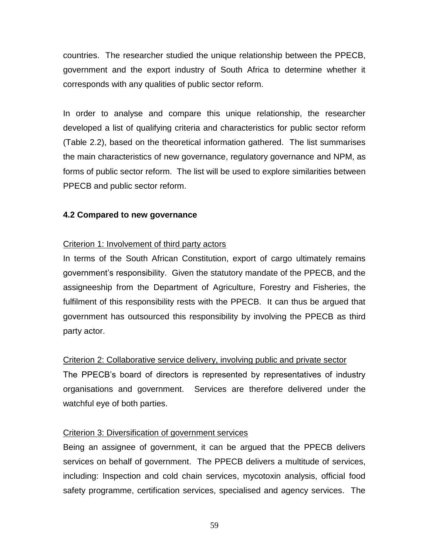countries. The researcher studied the unique relationship between the PPECB, government and the export industry of South Africa to determine whether it corresponds with any qualities of public sector reform.

In order to analyse and compare this unique relationship, the researcher developed a list of qualifying criteria and characteristics for public sector reform (Table 2.2), based on the theoretical information gathered. The list summarises the main characteristics of new governance, regulatory governance and NPM, as forms of public sector reform. The list will be used to explore similarities between PPECB and public sector reform.

# **4.2 Compared to new governance**

# Criterion 1: Involvement of third party actors

In terms of the South African Constitution, export of cargo ultimately remains government's responsibility. Given the statutory mandate of the PPECB, and the assigneeship from the Department of Agriculture, Forestry and Fisheries, the fulfilment of this responsibility rests with the PPECB. It can thus be argued that government has outsourced this responsibility by involving the PPECB as third party actor.

# Criterion 2: Collaborative service delivery, involving public and private sector

The PPECB"s board of directors is represented by representatives of industry organisations and government. Services are therefore delivered under the watchful eye of both parties.

# Criterion 3: Diversification of government services

Being an assignee of government, it can be argued that the PPECB delivers services on behalf of government. The PPECB delivers a multitude of services, including: Inspection and cold chain services, mycotoxin analysis, official food safety programme, certification services, specialised and agency services. The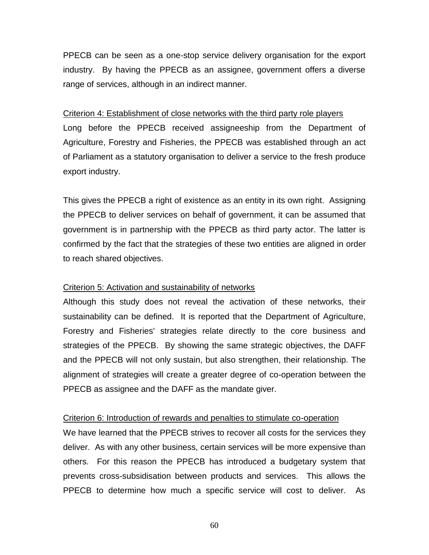PPECB can be seen as a one-stop service delivery organisation for the export industry. By having the PPECB as an assignee, government offers a diverse range of services, although in an indirect manner.

## Criterion 4: Establishment of close networks with the third party role players

Long before the PPECB received assigneeship from the Department of Agriculture, Forestry and Fisheries, the PPECB was established through an act of Parliament as a statutory organisation to deliver a service to the fresh produce export industry.

This gives the PPECB a right of existence as an entity in its own right. Assigning the PPECB to deliver services on behalf of government, it can be assumed that government is in partnership with the PPECB as third party actor. The latter is confirmed by the fact that the strategies of these two entities are aligned in order to reach shared objectives.

# Criterion 5: Activation and sustainability of networks

Although this study does not reveal the activation of these networks, their sustainability can be defined. It is reported that the Department of Agriculture, Forestry and Fisheries' strategies relate directly to the core business and strategies of the PPECB. By showing the same strategic objectives, the DAFF and the PPECB will not only sustain, but also strengthen, their relationship. The alignment of strategies will create a greater degree of co-operation between the PPECB as assignee and the DAFF as the mandate giver.

# Criterion 6: Introduction of rewards and penalties to stimulate co-operation

We have learned that the PPECB strives to recover all costs for the services they deliver. As with any other business, certain services will be more expensive than others. For this reason the PPECB has introduced a budgetary system that prevents cross-subsidisation between products and services. This allows the PPECB to determine how much a specific service will cost to deliver. As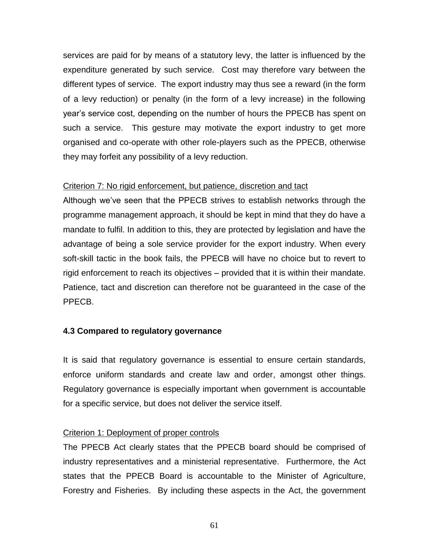services are paid for by means of a statutory levy, the latter is influenced by the expenditure generated by such service. Cost may therefore vary between the different types of service. The export industry may thus see a reward (in the form of a levy reduction) or penalty (in the form of a levy increase) in the following year"s service cost, depending on the number of hours the PPECB has spent on such a service. This gesture may motivate the export industry to get more organised and co-operate with other role-players such as the PPECB, otherwise they may forfeit any possibility of a levy reduction.

### Criterion 7: No rigid enforcement, but patience, discretion and tact

Although we"ve seen that the PPECB strives to establish networks through the programme management approach, it should be kept in mind that they do have a mandate to fulfil. In addition to this, they are protected by legislation and have the advantage of being a sole service provider for the export industry. When every soft-skill tactic in the book fails, the PPECB will have no choice but to revert to rigid enforcement to reach its objectives – provided that it is within their mandate. Patience, tact and discretion can therefore not be guaranteed in the case of the PPECB.

# **4.3 Compared to regulatory governance**

It is said that regulatory governance is essential to ensure certain standards, enforce uniform standards and create law and order, amongst other things. Regulatory governance is especially important when government is accountable for a specific service, but does not deliver the service itself.

# Criterion 1: Deployment of proper controls

The PPECB Act clearly states that the PPECB board should be comprised of industry representatives and a ministerial representative. Furthermore, the Act states that the PPECB Board is accountable to the Minister of Agriculture, Forestry and Fisheries. By including these aspects in the Act, the government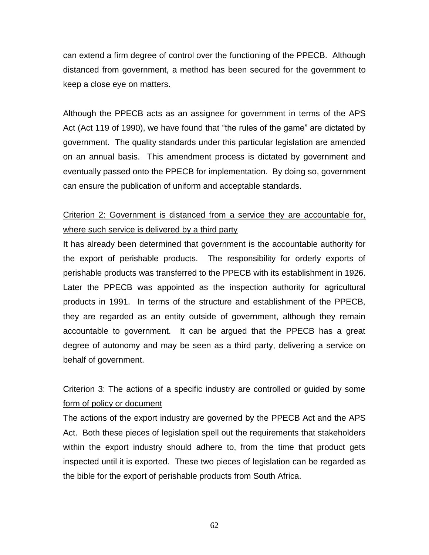can extend a firm degree of control over the functioning of the PPECB. Although distanced from government, a method has been secured for the government to keep a close eye on matters.

Although the PPECB acts as an assignee for government in terms of the APS Act (Act 119 of 1990), we have found that "the rules of the game" are dictated by government. The quality standards under this particular legislation are amended on an annual basis. This amendment process is dictated by government and eventually passed onto the PPECB for implementation. By doing so, government can ensure the publication of uniform and acceptable standards.

# Criterion 2: Government is distanced from a service they are accountable for, where such service is delivered by a third party

It has already been determined that government is the accountable authority for the export of perishable products. The responsibility for orderly exports of perishable products was transferred to the PPECB with its establishment in 1926. Later the PPECB was appointed as the inspection authority for agricultural products in 1991. In terms of the structure and establishment of the PPECB, they are regarded as an entity outside of government, although they remain accountable to government. It can be argued that the PPECB has a great degree of autonomy and may be seen as a third party, delivering a service on behalf of government.

# Criterion 3: The actions of a specific industry are controlled or guided by some form of policy or document

The actions of the export industry are governed by the PPECB Act and the APS Act. Both these pieces of legislation spell out the requirements that stakeholders within the export industry should adhere to, from the time that product gets inspected until it is exported. These two pieces of legislation can be regarded as the bible for the export of perishable products from South Africa.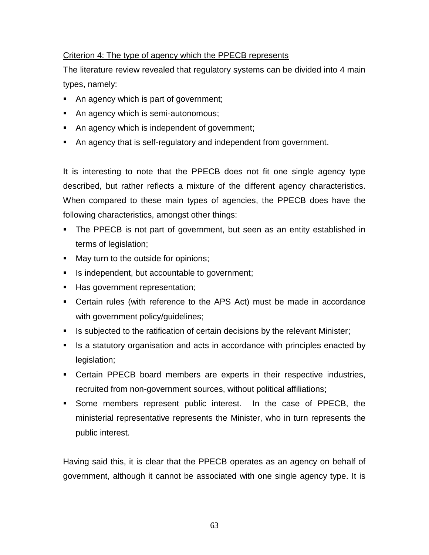# Criterion 4: The type of agency which the PPECB represents

The literature review revealed that regulatory systems can be divided into 4 main types, namely:

- An agency which is part of government;
- An agency which is semi-autonomous;
- An agency which is independent of government;
- An agency that is self-regulatory and independent from government.

It is interesting to note that the PPECB does not fit one single agency type described, but rather reflects a mixture of the different agency characteristics. When compared to these main types of agencies, the PPECB does have the following characteristics, amongst other things:

- The PPECB is not part of government, but seen as an entity established in terms of legislation;
- May turn to the outside for opinions;
- Is independent, but accountable to government;
- Has government representation;
- Certain rules (with reference to the APS Act) must be made in accordance with government policy/guidelines;
- Is subjected to the ratification of certain decisions by the relevant Minister;
- If a statutory organisation and acts in accordance with principles enacted by legislation;
- Certain PPECB board members are experts in their respective industries, recruited from non-government sources, without political affiliations;
- Some members represent public interest. In the case of PPECB, the ministerial representative represents the Minister, who in turn represents the public interest.

Having said this, it is clear that the PPECB operates as an agency on behalf of government, although it cannot be associated with one single agency type. It is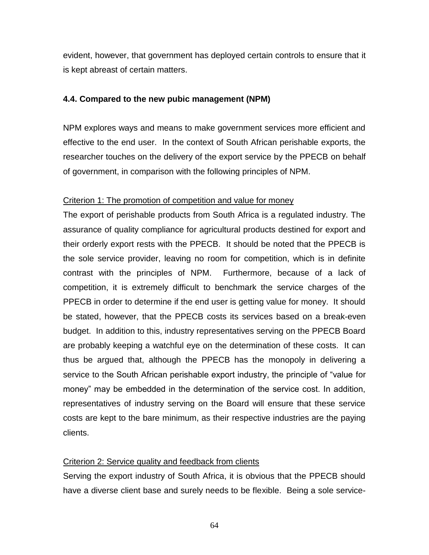evident, however, that government has deployed certain controls to ensure that it is kept abreast of certain matters.

### **4.4. Compared to the new pubic management (NPM)**

NPM explores ways and means to make government services more efficient and effective to the end user. In the context of South African perishable exports, the researcher touches on the delivery of the export service by the PPECB on behalf of government, in comparison with the following principles of NPM.

### Criterion 1: The promotion of competition and value for money

The export of perishable products from South Africa is a regulated industry. The assurance of quality compliance for agricultural products destined for export and their orderly export rests with the PPECB. It should be noted that the PPECB is the sole service provider, leaving no room for competition, which is in definite contrast with the principles of NPM. Furthermore, because of a lack of competition, it is extremely difficult to benchmark the service charges of the PPECB in order to determine if the end user is getting value for money. It should be stated, however, that the PPECB costs its services based on a break-even budget. In addition to this, industry representatives serving on the PPECB Board are probably keeping a watchful eye on the determination of these costs. It can thus be argued that, although the PPECB has the monopoly in delivering a service to the South African perishable export industry, the principle of "value for money" may be embedded in the determination of the service cost. In addition, representatives of industry serving on the Board will ensure that these service costs are kept to the bare minimum, as their respective industries are the paying clients.

## Criterion 2: Service quality and feedback from clients

Serving the export industry of South Africa, it is obvious that the PPECB should have a diverse client base and surely needs to be flexible. Being a sole service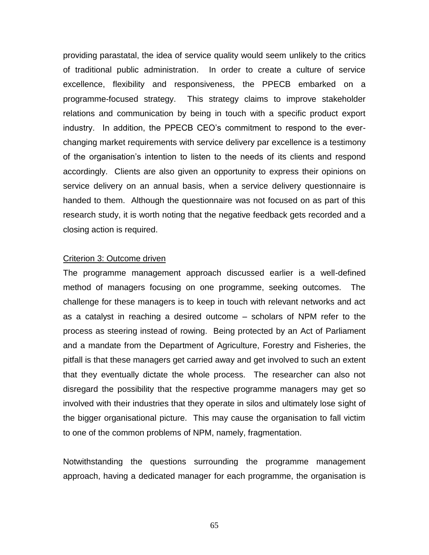providing parastatal, the idea of service quality would seem unlikely to the critics of traditional public administration. In order to create a culture of service excellence, flexibility and responsiveness, the PPECB embarked on a programme-focused strategy. This strategy claims to improve stakeholder relations and communication by being in touch with a specific product export industry. In addition, the PPECB CEO"s commitment to respond to the everchanging market requirements with service delivery par excellence is a testimony of the organisation"s intention to listen to the needs of its clients and respond accordingly. Clients are also given an opportunity to express their opinions on service delivery on an annual basis, when a service delivery questionnaire is handed to them. Although the questionnaire was not focused on as part of this research study, it is worth noting that the negative feedback gets recorded and a closing action is required.

#### Criterion 3: Outcome driven

The programme management approach discussed earlier is a well-defined method of managers focusing on one programme, seeking outcomes. The challenge for these managers is to keep in touch with relevant networks and act as a catalyst in reaching a desired outcome – scholars of NPM refer to the process as steering instead of rowing. Being protected by an Act of Parliament and a mandate from the Department of Agriculture, Forestry and Fisheries, the pitfall is that these managers get carried away and get involved to such an extent that they eventually dictate the whole process. The researcher can also not disregard the possibility that the respective programme managers may get so involved with their industries that they operate in silos and ultimately lose sight of the bigger organisational picture. This may cause the organisation to fall victim to one of the common problems of NPM, namely, fragmentation.

Notwithstanding the questions surrounding the programme management approach, having a dedicated manager for each programme, the organisation is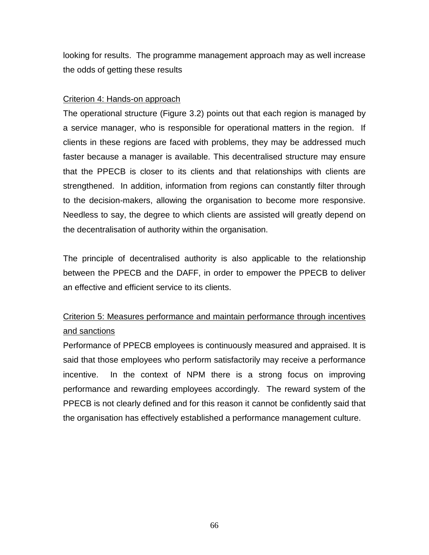looking for results. The programme management approach may as well increase the odds of getting these results

## Criterion 4: Hands-on approach

The operational structure (Figure 3.2) points out that each region is managed by a service manager, who is responsible for operational matters in the region. If clients in these regions are faced with problems, they may be addressed much faster because a manager is available. This decentralised structure may ensure that the PPECB is closer to its clients and that relationships with clients are strengthened. In addition, information from regions can constantly filter through to the decision-makers, allowing the organisation to become more responsive. Needless to say, the degree to which clients are assisted will greatly depend on the decentralisation of authority within the organisation.

The principle of decentralised authority is also applicable to the relationship between the PPECB and the DAFF, in order to empower the PPECB to deliver an effective and efficient service to its clients.

# Criterion 5: Measures performance and maintain performance through incentives and sanctions

Performance of PPECB employees is continuously measured and appraised. It is said that those employees who perform satisfactorily may receive a performance incentive. In the context of NPM there is a strong focus on improving performance and rewarding employees accordingly. The reward system of the PPECB is not clearly defined and for this reason it cannot be confidently said that the organisation has effectively established a performance management culture.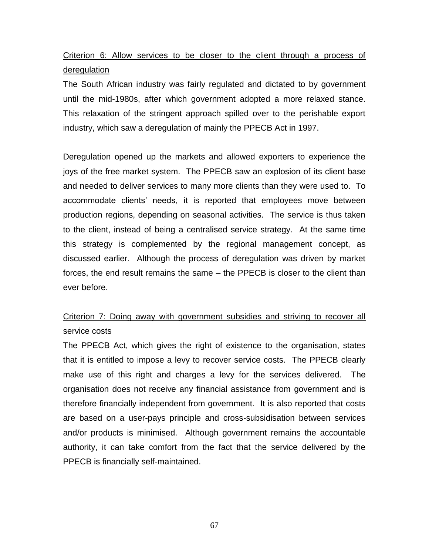Criterion 6: Allow services to be closer to the client through a process of deregulation

The South African industry was fairly regulated and dictated to by government until the mid-1980s, after which government adopted a more relaxed stance. This relaxation of the stringent approach spilled over to the perishable export industry, which saw a deregulation of mainly the PPECB Act in 1997.

Deregulation opened up the markets and allowed exporters to experience the joys of the free market system. The PPECB saw an explosion of its client base and needed to deliver services to many more clients than they were used to. To accommodate clients" needs, it is reported that employees move between production regions, depending on seasonal activities. The service is thus taken to the client, instead of being a centralised service strategy. At the same time this strategy is complemented by the regional management concept, as discussed earlier. Although the process of deregulation was driven by market forces, the end result remains the same – the PPECB is closer to the client than ever before.

## Criterion 7: Doing away with government subsidies and striving to recover all service costs

The PPECB Act, which gives the right of existence to the organisation, states that it is entitled to impose a levy to recover service costs. The PPECB clearly make use of this right and charges a levy for the services delivered. The organisation does not receive any financial assistance from government and is therefore financially independent from government. It is also reported that costs are based on a user-pays principle and cross-subsidisation between services and/or products is minimised. Although government remains the accountable authority, it can take comfort from the fact that the service delivered by the PPECB is financially self-maintained.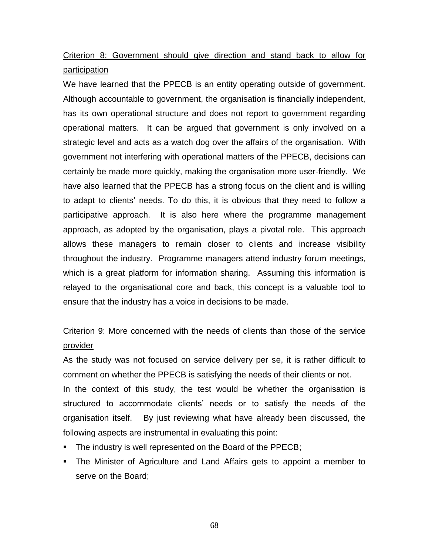## Criterion 8: Government should give direction and stand back to allow for participation

We have learned that the PPECB is an entity operating outside of government. Although accountable to government, the organisation is financially independent, has its own operational structure and does not report to government regarding operational matters. It can be argued that government is only involved on a strategic level and acts as a watch dog over the affairs of the organisation. With government not interfering with operational matters of the PPECB, decisions can certainly be made more quickly, making the organisation more user-friendly. We have also learned that the PPECB has a strong focus on the client and is willing to adapt to clients" needs. To do this, it is obvious that they need to follow a participative approach. It is also here where the programme management approach, as adopted by the organisation, plays a pivotal role. This approach allows these managers to remain closer to clients and increase visibility throughout the industry. Programme managers attend industry forum meetings, which is a great platform for information sharing. Assuming this information is relayed to the organisational core and back, this concept is a valuable tool to ensure that the industry has a voice in decisions to be made.

## Criterion 9: More concerned with the needs of clients than those of the service provider

As the study was not focused on service delivery per se, it is rather difficult to comment on whether the PPECB is satisfying the needs of their clients or not.

In the context of this study, the test would be whether the organisation is structured to accommodate clients" needs or to satisfy the needs of the organisation itself. By just reviewing what have already been discussed, the following aspects are instrumental in evaluating this point:

- The industry is well represented on the Board of the PPECB;
- The Minister of Agriculture and Land Affairs gets to appoint a member to serve on the Board;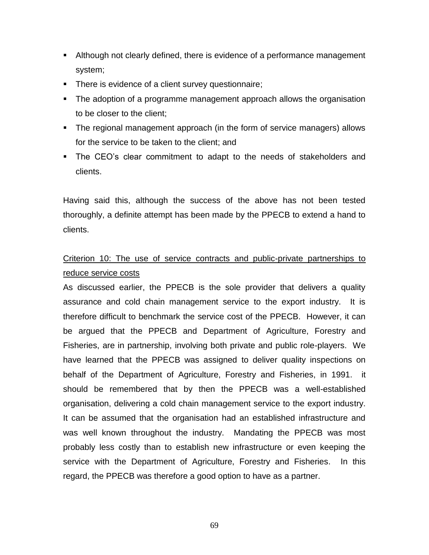- Although not clearly defined, there is evidence of a performance management system;
- **There is evidence of a client survey questionnaire;**
- The adoption of a programme management approach allows the organisation to be closer to the client;
- The regional management approach (in the form of service managers) allows for the service to be taken to the client; and
- The CEO"s clear commitment to adapt to the needs of stakeholders and clients.

Having said this, although the success of the above has not been tested thoroughly, a definite attempt has been made by the PPECB to extend a hand to clients.

## Criterion 10: The use of service contracts and public-private partnerships to reduce service costs

As discussed earlier, the PPECB is the sole provider that delivers a quality assurance and cold chain management service to the export industry. It is therefore difficult to benchmark the service cost of the PPECB. However, it can be argued that the PPECB and Department of Agriculture, Forestry and Fisheries, are in partnership, involving both private and public role-players. We have learned that the PPECB was assigned to deliver quality inspections on behalf of the Department of Agriculture, Forestry and Fisheries, in 1991. it should be remembered that by then the PPECB was a well-established organisation, delivering a cold chain management service to the export industry. It can be assumed that the organisation had an established infrastructure and was well known throughout the industry. Mandating the PPECB was most probably less costly than to establish new infrastructure or even keeping the service with the Department of Agriculture, Forestry and Fisheries. In this regard, the PPECB was therefore a good option to have as a partner.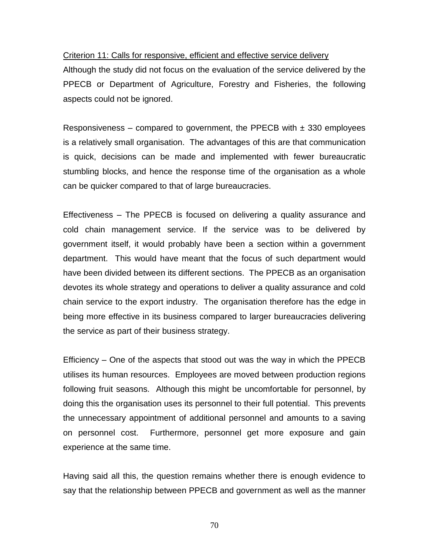#### Criterion 11: Calls for responsive, efficient and effective service delivery

Although the study did not focus on the evaluation of the service delivered by the PPECB or Department of Agriculture, Forestry and Fisheries, the following aspects could not be ignored.

Responsiveness – compared to government, the PPECB with  $\pm$  330 employees is a relatively small organisation. The advantages of this are that communication is quick, decisions can be made and implemented with fewer bureaucratic stumbling blocks, and hence the response time of the organisation as a whole can be quicker compared to that of large bureaucracies.

Effectiveness – The PPECB is focused on delivering a quality assurance and cold chain management service. If the service was to be delivered by government itself, it would probably have been a section within a government department. This would have meant that the focus of such department would have been divided between its different sections. The PPECB as an organisation devotes its whole strategy and operations to deliver a quality assurance and cold chain service to the export industry. The organisation therefore has the edge in being more effective in its business compared to larger bureaucracies delivering the service as part of their business strategy.

Efficiency – One of the aspects that stood out was the way in which the PPECB utilises its human resources. Employees are moved between production regions following fruit seasons. Although this might be uncomfortable for personnel, by doing this the organisation uses its personnel to their full potential. This prevents the unnecessary appointment of additional personnel and amounts to a saving on personnel cost. Furthermore, personnel get more exposure and gain experience at the same time.

Having said all this, the question remains whether there is enough evidence to say that the relationship between PPECB and government as well as the manner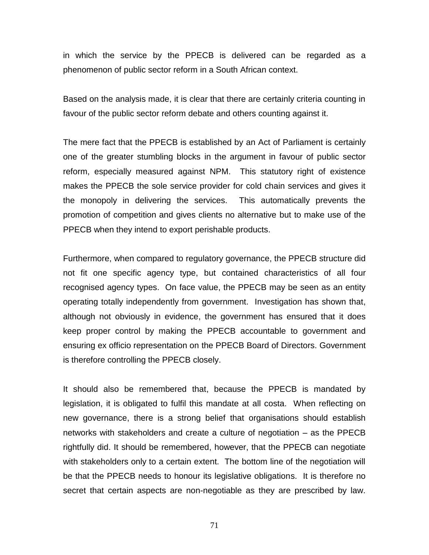in which the service by the PPECB is delivered can be regarded as a phenomenon of public sector reform in a South African context.

Based on the analysis made, it is clear that there are certainly criteria counting in favour of the public sector reform debate and others counting against it.

The mere fact that the PPECB is established by an Act of Parliament is certainly one of the greater stumbling blocks in the argument in favour of public sector reform, especially measured against NPM. This statutory right of existence makes the PPECB the sole service provider for cold chain services and gives it the monopoly in delivering the services. This automatically prevents the promotion of competition and gives clients no alternative but to make use of the PPECB when they intend to export perishable products.

Furthermore, when compared to regulatory governance, the PPECB structure did not fit one specific agency type, but contained characteristics of all four recognised agency types. On face value, the PPECB may be seen as an entity operating totally independently from government. Investigation has shown that, although not obviously in evidence, the government has ensured that it does keep proper control by making the PPECB accountable to government and ensuring ex officio representation on the PPECB Board of Directors. Government is therefore controlling the PPECB closely.

It should also be remembered that, because the PPECB is mandated by legislation, it is obligated to fulfil this mandate at all costa. When reflecting on new governance, there is a strong belief that organisations should establish networks with stakeholders and create a culture of negotiation – as the PPECB rightfully did. It should be remembered, however, that the PPECB can negotiate with stakeholders only to a certain extent. The bottom line of the negotiation will be that the PPECB needs to honour its legislative obligations. It is therefore no secret that certain aspects are non-negotiable as they are prescribed by law.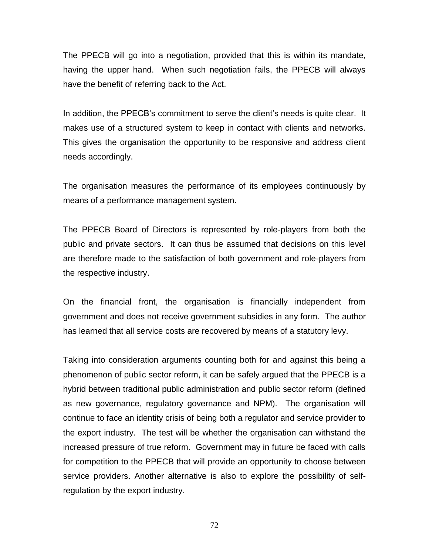The PPECB will go into a negotiation, provided that this is within its mandate, having the upper hand. When such negotiation fails, the PPECB will always have the benefit of referring back to the Act.

In addition, the PPECB's commitment to serve the client's needs is quite clear. It makes use of a structured system to keep in contact with clients and networks. This gives the organisation the opportunity to be responsive and address client needs accordingly.

The organisation measures the performance of its employees continuously by means of a performance management system.

The PPECB Board of Directors is represented by role-players from both the public and private sectors. It can thus be assumed that decisions on this level are therefore made to the satisfaction of both government and role-players from the respective industry.

On the financial front, the organisation is financially independent from government and does not receive government subsidies in any form. The author has learned that all service costs are recovered by means of a statutory levy.

Taking into consideration arguments counting both for and against this being a phenomenon of public sector reform, it can be safely argued that the PPECB is a hybrid between traditional public administration and public sector reform (defined as new governance, regulatory governance and NPM). The organisation will continue to face an identity crisis of being both a regulator and service provider to the export industry. The test will be whether the organisation can withstand the increased pressure of true reform. Government may in future be faced with calls for competition to the PPECB that will provide an opportunity to choose between service providers. Another alternative is also to explore the possibility of selfregulation by the export industry.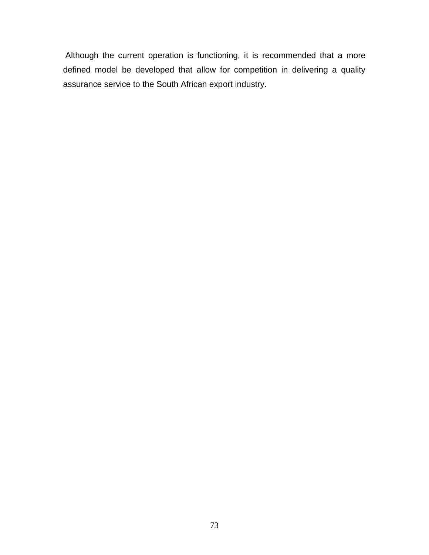Although the current operation is functioning, it is recommended that a more defined model be developed that allow for competition in delivering a quality assurance service to the South African export industry.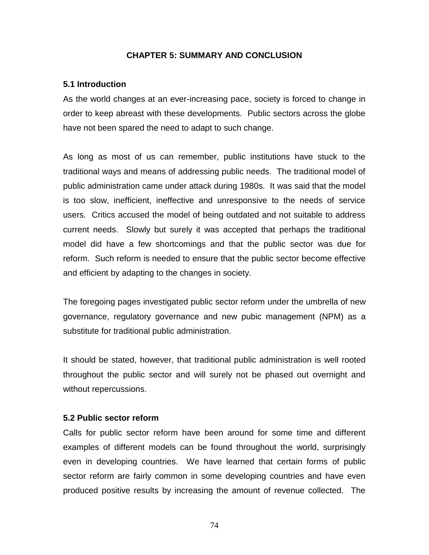### **CHAPTER 5: SUMMARY AND CONCLUSION**

### **5.1 Introduction**

As the world changes at an ever-increasing pace, society is forced to change in order to keep abreast with these developments. Public sectors across the globe have not been spared the need to adapt to such change.

As long as most of us can remember, public institutions have stuck to the traditional ways and means of addressing public needs. The traditional model of public administration came under attack during 1980s. It was said that the model is too slow, inefficient, ineffective and unresponsive to the needs of service users. Critics accused the model of being outdated and not suitable to address current needs. Slowly but surely it was accepted that perhaps the traditional model did have a few shortcomings and that the public sector was due for reform. Such reform is needed to ensure that the public sector become effective and efficient by adapting to the changes in society.

The foregoing pages investigated public sector reform under the umbrella of new governance, regulatory governance and new pubic management (NPM) as a substitute for traditional public administration.

It should be stated, however, that traditional public administration is well rooted throughout the public sector and will surely not be phased out overnight and without repercussions.

#### **5.2 Public sector reform**

Calls for public sector reform have been around for some time and different examples of different models can be found throughout the world, surprisingly even in developing countries. We have learned that certain forms of public sector reform are fairly common in some developing countries and have even produced positive results by increasing the amount of revenue collected. The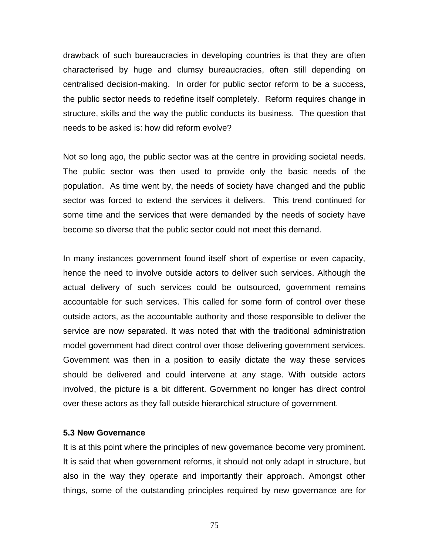drawback of such bureaucracies in developing countries is that they are often characterised by huge and clumsy bureaucracies, often still depending on centralised decision-making. In order for public sector reform to be a success, the public sector needs to redefine itself completely. Reform requires change in structure, skills and the way the public conducts its business. The question that needs to be asked is: how did reform evolve?

Not so long ago, the public sector was at the centre in providing societal needs. The public sector was then used to provide only the basic needs of the population. As time went by, the needs of society have changed and the public sector was forced to extend the services it delivers. This trend continued for some time and the services that were demanded by the needs of society have become so diverse that the public sector could not meet this demand.

In many instances government found itself short of expertise or even capacity, hence the need to involve outside actors to deliver such services. Although the actual delivery of such services could be outsourced, government remains accountable for such services. This called for some form of control over these outside actors, as the accountable authority and those responsible to deliver the service are now separated. It was noted that with the traditional administration model government had direct control over those delivering government services. Government was then in a position to easily dictate the way these services should be delivered and could intervene at any stage. With outside actors involved, the picture is a bit different. Government no longer has direct control over these actors as they fall outside hierarchical structure of government.

#### **5.3 New Governance**

It is at this point where the principles of new governance become very prominent. It is said that when government reforms, it should not only adapt in structure, but also in the way they operate and importantly their approach. Amongst other things, some of the outstanding principles required by new governance are for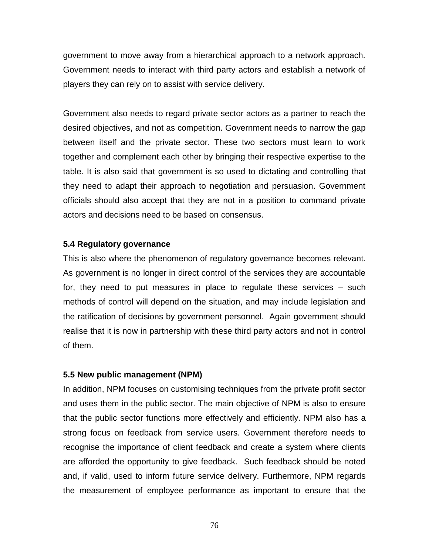government to move away from a hierarchical approach to a network approach. Government needs to interact with third party actors and establish a network of players they can rely on to assist with service delivery.

Government also needs to regard private sector actors as a partner to reach the desired objectives, and not as competition. Government needs to narrow the gap between itself and the private sector. These two sectors must learn to work together and complement each other by bringing their respective expertise to the table. It is also said that government is so used to dictating and controlling that they need to adapt their approach to negotiation and persuasion. Government officials should also accept that they are not in a position to command private actors and decisions need to be based on consensus.

## **5.4 Regulatory governance**

This is also where the phenomenon of regulatory governance becomes relevant. As government is no longer in direct control of the services they are accountable for, they need to put measures in place to regulate these services – such methods of control will depend on the situation, and may include legislation and the ratification of decisions by government personnel. Again government should realise that it is now in partnership with these third party actors and not in control of them.

## **5.5 New public management (NPM)**

In addition, NPM focuses on customising techniques from the private profit sector and uses them in the public sector. The main objective of NPM is also to ensure that the public sector functions more effectively and efficiently. NPM also has a strong focus on feedback from service users. Government therefore needs to recognise the importance of client feedback and create a system where clients are afforded the opportunity to give feedback. Such feedback should be noted and, if valid, used to inform future service delivery. Furthermore, NPM regards the measurement of employee performance as important to ensure that the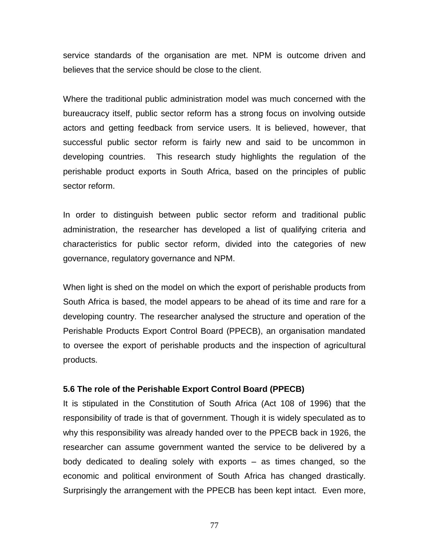service standards of the organisation are met. NPM is outcome driven and believes that the service should be close to the client.

Where the traditional public administration model was much concerned with the bureaucracy itself, public sector reform has a strong focus on involving outside actors and getting feedback from service users. It is believed, however, that successful public sector reform is fairly new and said to be uncommon in developing countries. This research study highlights the regulation of the perishable product exports in South Africa, based on the principles of public sector reform.

In order to distinguish between public sector reform and traditional public administration, the researcher has developed a list of qualifying criteria and characteristics for public sector reform, divided into the categories of new governance, regulatory governance and NPM.

When light is shed on the model on which the export of perishable products from South Africa is based, the model appears to be ahead of its time and rare for a developing country. The researcher analysed the structure and operation of the Perishable Products Export Control Board (PPECB), an organisation mandated to oversee the export of perishable products and the inspection of agricultural products.

#### **5.6 The role of the Perishable Export Control Board (PPECB)**

It is stipulated in the Constitution of South Africa (Act 108 of 1996) that the responsibility of trade is that of government. Though it is widely speculated as to why this responsibility was already handed over to the PPECB back in 1926, the researcher can assume government wanted the service to be delivered by a body dedicated to dealing solely with exports – as times changed, so the economic and political environment of South Africa has changed drastically. Surprisingly the arrangement with the PPECB has been kept intact. Even more,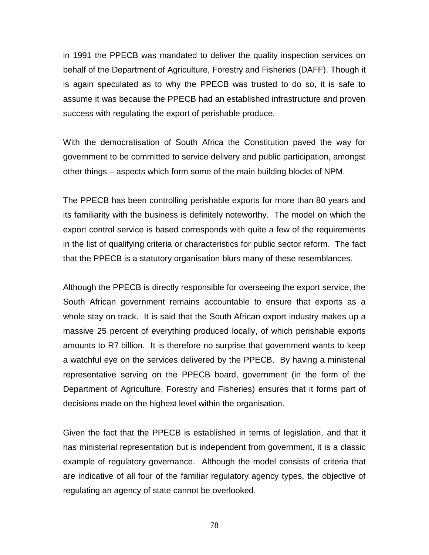in 1991 the PPECB was mandated to deliver the quality inspection services on behalf of the Department of Agriculture, Forestry and Fisheries (DAFF). Though it is again speculated as to why the PPECB was trusted to do so, it is safe to assume it was because the PPECB had an established infrastructure and proven success with regulating the export of perishable produce.

With the democratisation of South Africa the Constitution paved the way for government to be committed to service delivery and public participation, amongst other things – aspects which form some of the main building blocks of NPM.

The PPECB has been controlling perishable exports for more than 80 years and its familiarity with the business is definitely noteworthy. The model on which the export control service is based corresponds with quite a few of the requirements in the list of qualifying criteria or characteristics for public sector reform. The fact that the PPECB is a statutory organisation blurs many of these resemblances.

Although the PPECB is directly responsible for overseeing the export service, the South African government remains accountable to ensure that exports as a whole stay on track. It is said that the South African export industry makes up a massive 25 percent of everything produced locally, of which perishable exports amounts to R7 billion. It is therefore no surprise that government wants to keep a watchful eye on the services delivered by the PPECB. By having a ministerial representative serving on the PPECB board, government (in the form of the Department of Agriculture, Forestry and Fisheries) ensures that it forms part of decisions made on the highest level within the organisation.

Given the fact that the PPECB is established in terms of legislation, and that it has ministerial representation but is independent from government, it is a classic example of regulatory governance. Although the model consists of criteria that are indicative of all four of the familiar regulatory agency types, the objective of regulating an agency of state cannot be overlooked.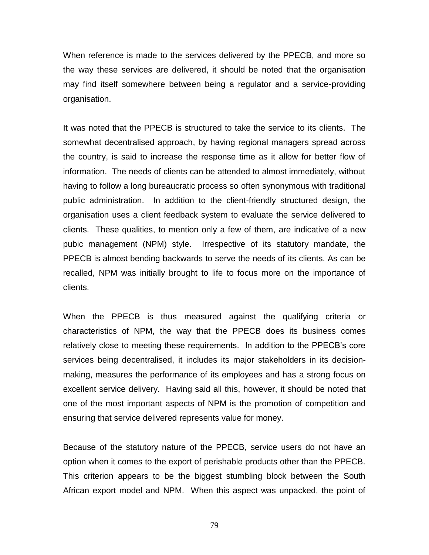When reference is made to the services delivered by the PPECB, and more so the way these services are delivered, it should be noted that the organisation may find itself somewhere between being a regulator and a service-providing organisation.

It was noted that the PPECB is structured to take the service to its clients. The somewhat decentralised approach, by having regional managers spread across the country, is said to increase the response time as it allow for better flow of information. The needs of clients can be attended to almost immediately, without having to follow a long bureaucratic process so often synonymous with traditional public administration. In addition to the client-friendly structured design, the organisation uses a client feedback system to evaluate the service delivered to clients. These qualities, to mention only a few of them, are indicative of a new pubic management (NPM) style. Irrespective of its statutory mandate, the PPECB is almost bending backwards to serve the needs of its clients. As can be recalled, NPM was initially brought to life to focus more on the importance of clients.

When the PPECB is thus measured against the qualifying criteria or characteristics of NPM, the way that the PPECB does its business comes relatively close to meeting these requirements. In addition to the PPECB"s core services being decentralised, it includes its major stakeholders in its decisionmaking, measures the performance of its employees and has a strong focus on excellent service delivery. Having said all this, however, it should be noted that one of the most important aspects of NPM is the promotion of competition and ensuring that service delivered represents value for money.

Because of the statutory nature of the PPECB, service users do not have an option when it comes to the export of perishable products other than the PPECB. This criterion appears to be the biggest stumbling block between the South African export model and NPM. When this aspect was unpacked, the point of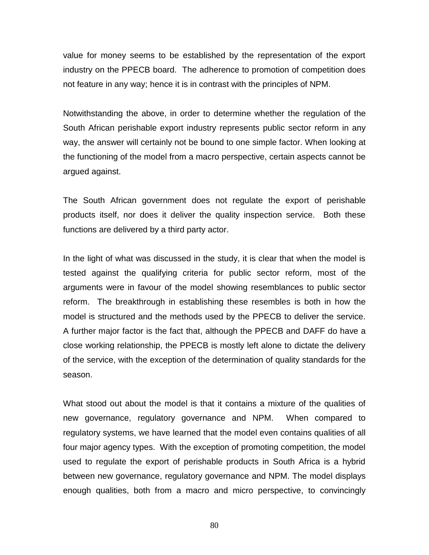value for money seems to be established by the representation of the export industry on the PPECB board. The adherence to promotion of competition does not feature in any way; hence it is in contrast with the principles of NPM.

Notwithstanding the above, in order to determine whether the regulation of the South African perishable export industry represents public sector reform in any way, the answer will certainly not be bound to one simple factor. When looking at the functioning of the model from a macro perspective, certain aspects cannot be argued against.

The South African government does not regulate the export of perishable products itself, nor does it deliver the quality inspection service. Both these functions are delivered by a third party actor.

In the light of what was discussed in the study, it is clear that when the model is tested against the qualifying criteria for public sector reform, most of the arguments were in favour of the model showing resemblances to public sector reform. The breakthrough in establishing these resembles is both in how the model is structured and the methods used by the PPECB to deliver the service. A further major factor is the fact that, although the PPECB and DAFF do have a close working relationship, the PPECB is mostly left alone to dictate the delivery of the service, with the exception of the determination of quality standards for the season.

What stood out about the model is that it contains a mixture of the qualities of new governance, regulatory governance and NPM. When compared to regulatory systems, we have learned that the model even contains qualities of all four major agency types. With the exception of promoting competition, the model used to regulate the export of perishable products in South Africa is a hybrid between new governance, regulatory governance and NPM. The model displays enough qualities, both from a macro and micro perspective, to convincingly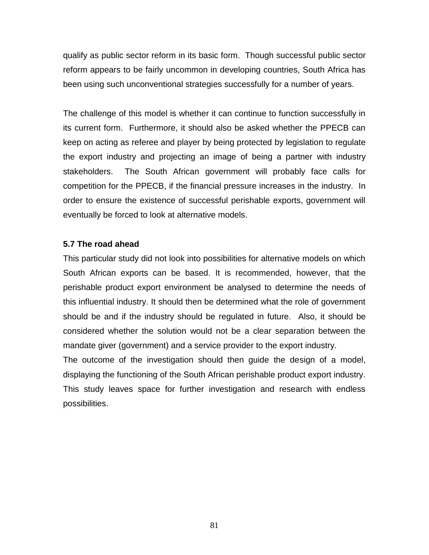qualify as public sector reform in its basic form. Though successful public sector reform appears to be fairly uncommon in developing countries, South Africa has been using such unconventional strategies successfully for a number of years.

The challenge of this model is whether it can continue to function successfully in its current form. Furthermore, it should also be asked whether the PPECB can keep on acting as referee and player by being protected by legislation to regulate the export industry and projecting an image of being a partner with industry stakeholders. The South African government will probably face calls for competition for the PPECB, if the financial pressure increases in the industry. In order to ensure the existence of successful perishable exports, government will eventually be forced to look at alternative models.

## **5.7 The road ahead**

This particular study did not look into possibilities for alternative models on which South African exports can be based. It is recommended, however, that the perishable product export environment be analysed to determine the needs of this influential industry. It should then be determined what the role of government should be and if the industry should be regulated in future. Also, it should be considered whether the solution would not be a clear separation between the mandate giver (government) and a service provider to the export industry.

The outcome of the investigation should then guide the design of a model, displaying the functioning of the South African perishable product export industry. This study leaves space for further investigation and research with endless possibilities.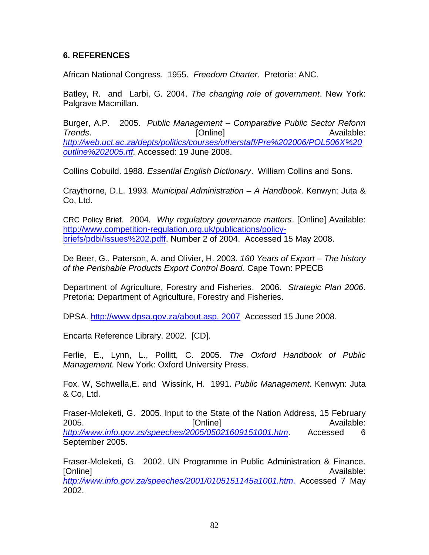## **6. REFERENCES**

African National Congress. 1955. *Freedom Charter*. Pretoria: ANC.

Batley, R. and Larbi, G. 2004. *The changing role of government*. New York: Palgrave Macmillan.

Burger, A.P. 2005. *Public Management – Comparative Public Sector Reform*  **Trends. Conserverse Confirmation Confirmation Available: Available: Available:** *[http://web.uct.ac.za/depts/politics/courses/otherstaff/Pre%202006/POL506X%20](http://web.uct.ac.za/depts/politics/courses/otherstaff/Pre%202006/POL506X%20outline%202005.rtf) [outline%202005.rtf.](http://web.uct.ac.za/depts/politics/courses/otherstaff/Pre%202006/POL506X%20outline%202005.rtf)* Accessed: 19 June 2008.

Collins Cobuild. 1988. *Essential English Dictionary*. William Collins and Sons.

Craythorne, D.L. 1993. *Municipal Administration – A Handbook*. Kenwyn: Juta & Co, Ltd.

CRC Policy Brief. 2004*. Why regulatory governance matters*. [Online] Available: [http://www.competition-regulation.org.uk/publications/policy](http://www.competition-regulation.org.uk/publications/policy-briefs/pdbi/issues%202.pdff)[briefs/pdbi/issues%202.pdff.](http://www.competition-regulation.org.uk/publications/policy-briefs/pdbi/issues%202.pdff) Number 2 of 2004. Accessed 15 May 2008.

De Beer, G., Paterson, A. and Olivier, H. 2003. *160 Years of Export – The history of the Perishable Products Export Control Board.* Cape Town: PPECB

Department of Agriculture, Forestry and Fisheries. 2006. *Strategic Plan 2006*. Pretoria: Department of Agriculture, Forestry and Fisheries.

DPSA. [http://www.dpsa.gov.za/about.asp. 2007](http://www.dpsa.gov.za/about.asp.%202007) Accessed 15 June 2008.

Encarta Reference Library. 2002. [CD].

Ferlie, E., Lynn, L., Pollitt, C. 2005. *The Oxford Handbook of Public Management.* New York: Oxford University Press.

Fox. W, Schwella,E. and Wissink, H. 1991. *Public Management*. Kenwyn: Juta & Co, Ltd.

Fraser-Moleketi, G. 2005. Input to the State of the Nation Address, 15 February 2005. [Online] Available: *<http://www.info.gov.zs/speeches/2005/05021609151001.htm>*. Accessed 6 September 2005.

Fraser-Moleketi, G. 2002. UN Programme in Public Administration & Finance. [Online] **Available:** Available: **Available: Available: Available: Available: Available: Available: Available: Available: Available: Available: Available: Available: Available: Available: Availa** *[http://www.info.gov.za/speeches/2001/0105151145a1001.htm.](http://www.info.gov.za/speeches/2001/0105151145a1001.htm)* Accessed 7 May 2002.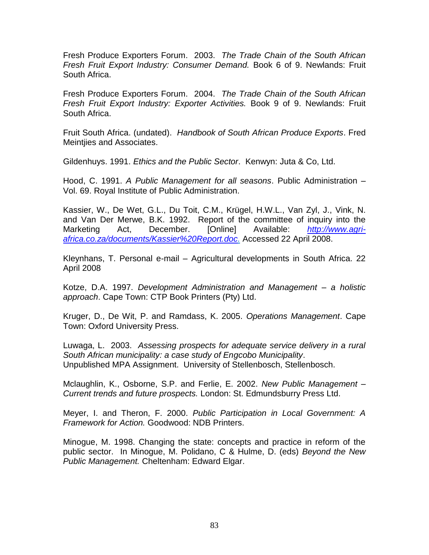Fresh Produce Exporters Forum. 2003. *The Trade Chain of the South African Fresh Fruit Export Industry: Consumer Demand.* Book 6 of 9. Newlands: Fruit South Africa.

Fresh Produce Exporters Forum. 2004. *The Trade Chain of the South African Fresh Fruit Export Industry: Exporter Activities.* Book 9 of 9. Newlands: Fruit South Africa.

Fruit South Africa. (undated). *Handbook of South African Produce Exports*. Fred Meintjies and Associates.

Gildenhuys. 1991. *Ethics and the Public Sector*. Kenwyn: Juta & Co, Ltd.

Hood, C. 1991. *A Public Management for all seasons*. Public Administration – Vol. 69. Royal Institute of Public Administration.

Kassier, W., De Wet, G.L., Du Toit, C.M., Krügel, H.W.L., Van Zyl, J., Vink, N. and Van Der Merwe, B.K. 1992. Report of the committee of inquiry into the Marketing Act, December. [Online] Available: *[http://www.agri](http://www.agri-africa.co.za/documents/Kassier%20Report.doc)[africa.co.za/documents/Kassier%20Report.doc.](http://www.agri-africa.co.za/documents/Kassier%20Report.doc)* Accessed 22 April 2008.

Kleynhans, T. Personal e-mail – Agricultural developments in South Africa. 22 April 2008

Kotze, D.A. 1997. *Development Administration and Management – a holistic approach*. Cape Town: CTP Book Printers (Pty) Ltd.

Kruger, D., De Wit, P. and Ramdass, K. 2005. *Operations Management*. Cape Town: Oxford University Press.

Luwaga, L. 2003. *Assessing prospects for adequate service delivery in a rural South African municipality: a case study of Engcobo Municipality*. Unpublished MPA Assignment. University of Stellenbosch, Stellenbosch.

Mclaughlin, K., Osborne, S.P. and Ferlie, E. 2002. *New Public Management – Current trends and future prospects.* London: St. Edmundsburry Press Ltd.

Meyer, I. and Theron, F. 2000. *Public Participation in Local Government: A Framework for Action.* Goodwood: NDB Printers.

Minogue, M. 1998. Changing the state: concepts and practice in reform of the public sector. In Minogue, M. Polidano, C & Hulme, D. (eds) *Beyond the New Public Management.* Cheltenham: Edward Elgar.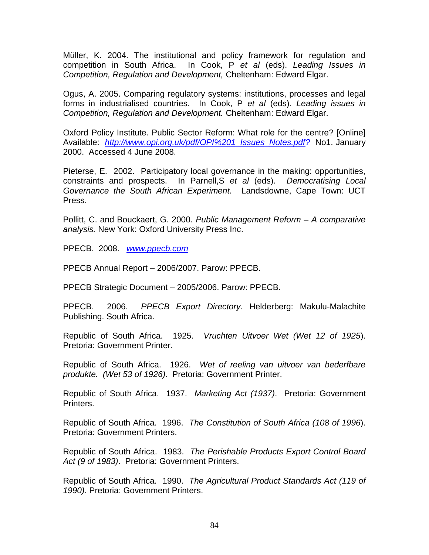Müller, K. 2004. The institutional and policy framework for regulation and competition in South Africa. In Cook, P *et al* (eds). *Leading Issues in Competition, Regulation and Development,* Cheltenham: Edward Elgar.

Ogus, A. 2005. Comparing regulatory systems: institutions, processes and legal forms in industrialised countries. In Cook, P *et al* (eds). *Leading issues in Competition, Regulation and Development.* Cheltenham: Edward Elgar.

Oxford Policy Institute. Public Sector Reform: What role for the centre? [Online] Available: *[http://www.opi.org.uk/pdf/OPI%201\\_Issues\\_Notes.pdf?](http://www.opi.org.uk/pdf/OPI%201_Issues_Notes.pdf)* No1. January 2000. Accessed 4 June 2008.

Pieterse, E. 2002. Participatory local governance in the making: opportunities, constraints and prospects. In Parnell,S *et al* (eds). *Democratising Local Governance the South African Experiment.* Landsdowne, Cape Town: UCT Press.

Pollitt, C. and Bouckaert, G. 2000. *Public Management Reform – A comparative analysis.* New York: Oxford University Press Inc.

PPECB. 2008. *www.ppecb.com*

PPECB Annual Report – 2006/2007. Parow: PPECB.

PPECB Strategic Document – 2005/2006. Parow: PPECB.

PPECB. 2006. *PPECB Export Directory*. Helderberg: Makulu-Malachite Publishing. South Africa.

Republic of South Africa. 1925. *Vruchten Uitvoer Wet (Wet 12 of 1925*). Pretoria: Government Printer.

Republic of South Africa. 1926. *Wet of reeling van uitvoer van bederfbare produkte. (Wet 53 of 1926)*. Pretoria: Government Printer.

Republic of South Africa. 1937. *Marketing Act (1937)*. Pretoria: Government Printers.

Republic of South Africa. 1996. *The Constitution of South Africa (108 of 1996*). Pretoria: Government Printers.

Republic of South Africa. 1983. *The Perishable Products Export Control Board Act (9 of 1983)*. Pretoria: Government Printers.

Republic of South Africa. 1990. *The Agricultural Product Standards Act (119 of 1990).* Pretoria: Government Printers.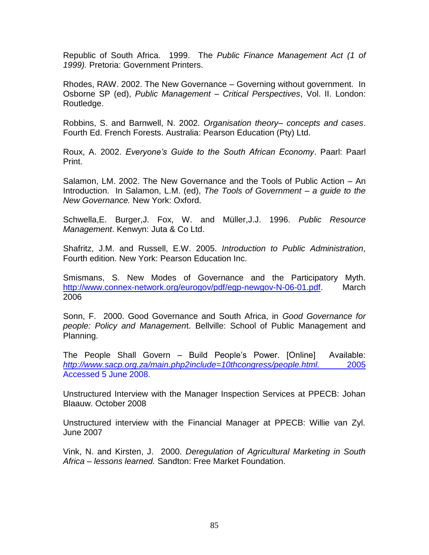Republic of South Africa. 1999. The *Public Finance Management Act (1 of 1999).* Pretoria: Government Printers.

Rhodes, RAW. 2002. The New Governance – Governing without government. In Osborne SP (ed), *Public Management – Critical Perspectives*, Vol. II. London: Routledge.

Robbins, S. and Barnwell, N. 2002*. Organisation theory– concepts and cases*. Fourth Ed. French Forests. Australia: Pearson Education (Pty) Ltd.

Roux, A. 2002. *Everyone's Guide to the South African Economy*. Paarl: Paarl Print.

Salamon, LM. 2002. The New Governance and the Tools of Public Action – An Introduction. In Salamon, L.M. (ed), *The Tools of Government – a guide to the New Governance.* New York: Oxford.

Schwella,E. Burger,J. Fox, W. and Müller,J.J. 1996. *Public Resource Management*. Kenwyn: Juta & Co Ltd.

Shafritz, J.M. and Russell, E.W. 2005. *Introduction to Public Administration*, Fourth edition. New York: Pearson Education Inc.

Smismans, S. New Modes of Governance and the Participatory Myth. [http://www.connex-network.org/eurogov/pdf/egp-newgov-N-06-01.pdf.](http://www.connex-network.org/eurogov/pdf/egp-newgov-N-06-01.pdf) March 2006

Sonn, F. 2000. Good Governance and South Africa, in *Good Governance for people: Policy and Managemen*t. Bellville: School of Public Management and Planning.

The People Shall Govern – Build People"s Power. [Online] Available: *[http://www.sacp.org.za/main.php2include=10thcongress/people.html.](http://www.sacp.org.za/main.php2include=10thcongress/people.html.%202005)* 2005 Accessed 5 June 2008.

Unstructured Interview with the Manager Inspection Services at PPECB: Johan Blaauw. October 2008

Unstructured interview with the Financial Manager at PPECB: Willie van Zyl. June 2007

Vink, N. and Kirsten, J. 2000. *Deregulation of Agricultural Marketing in South Africa – lessons learned.* Sandton: Free Market Foundation.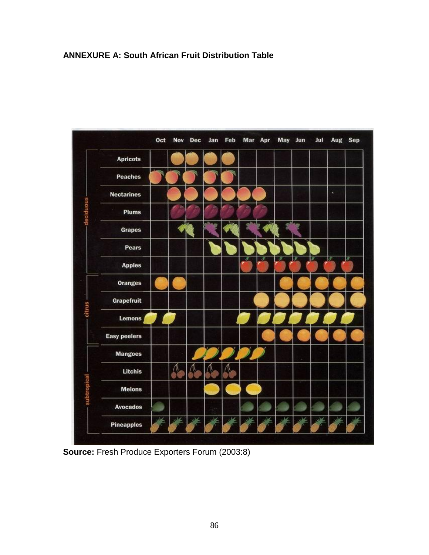## **ANNEXURE A: South African Fruit Distribution Table**



**Source:** Fresh Produce Exporters Forum (2003:8)